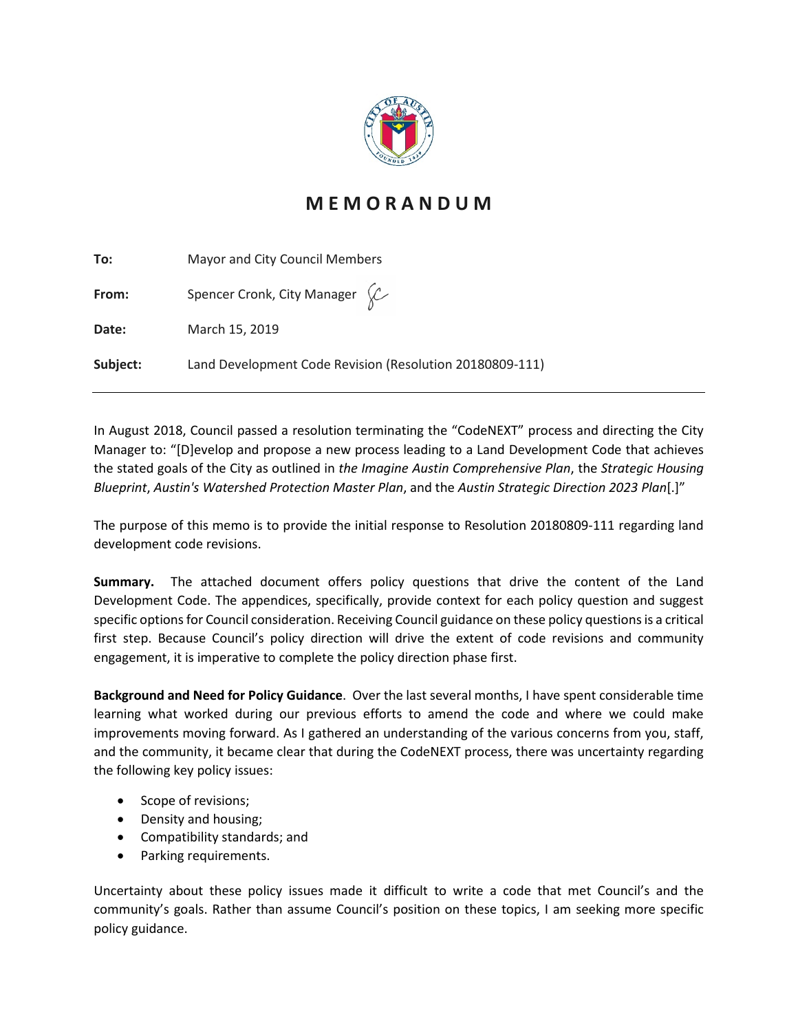

# **M E M O R A N D U M**

| To:      | Mayor and City Council Members                           |
|----------|----------------------------------------------------------|
| From:    | Spencer Cronk, City Manager $\&$                         |
| Date:    | March 15, 2019                                           |
| Subject: | Land Development Code Revision (Resolution 20180809-111) |

In August 2018, Council passed a resolution terminating the "CodeNEXT" process and directing the City Manager to: "[D]evelop and propose a new process leading to a Land Development Code that achieves the stated goals of the City as outlined in *the Imagine Austin Comprehensive Plan*, the *Strategic Housing Blueprint*, *Austin's Watershed Protection Master Plan*, and the *Austin Strategic Direction 2023 Plan*[.]"

The purpose of this memo is to provide the initial response to Resolution 20180809-111 regarding land development code revisions.

**Summary.** The attached document offers policy questions that drive the content of the Land Development Code. The appendices, specifically, provide context for each policy question and suggest specific options for Council consideration. Receiving Council guidance on these policy questions is a critical first step. Because Council's policy direction will drive the extent of code revisions and community engagement, it is imperative to complete the policy direction phase first.

**Background and Need for Policy Guidance**. Over the last several months, I have spent considerable time learning what worked during our previous efforts to amend the code and where we could make improvements moving forward. As I gathered an understanding of the various concerns from you, staff, and the community, it became clear that during the CodeNEXT process, there was uncertainty regarding the following key policy issues:

- Scope of revisions;
- Density and housing;
- Compatibility standards; and
- Parking requirements.

Uncertainty about these policy issues made it difficult to write a code that met Council's and the community's goals. Rather than assume Council's position on these topics, I am seeking more specific policy guidance.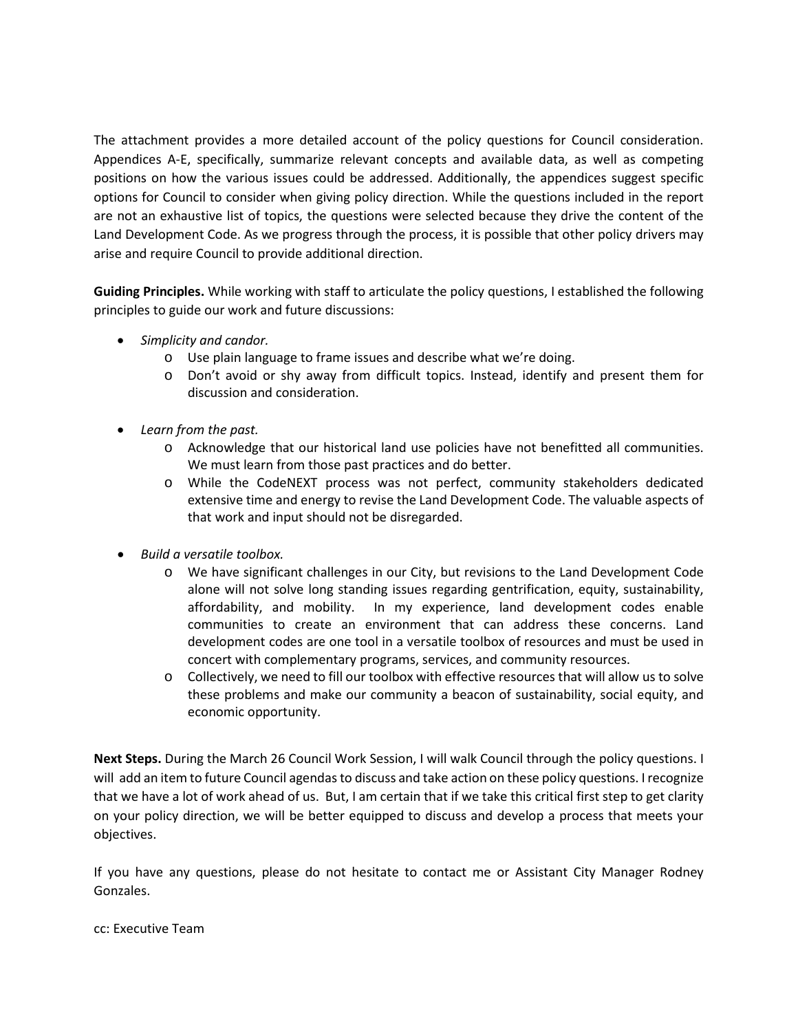The attachment provides a more detailed account of the policy questions for Council consideration. Appendices A-E, specifically, summarize relevant concepts and available data, as well as competing positions on how the various issues could be addressed. Additionally, the appendices suggest specific options for Council to consider when giving policy direction. While the questions included in the report are not an exhaustive list of topics, the questions were selected because they drive the content of the Land Development Code. As we progress through the process, it is possible that other policy drivers may arise and require Council to provide additional direction.

**Guiding Principles.** While working with staff to articulate the policy questions, I established the following principles to guide our work and future discussions:

- *Simplicity and candor.* 
	- o Use plain language to frame issues and describe what we're doing.
	- o Don't avoid or shy away from difficult topics. Instead, identify and present them for discussion and consideration.
- *Learn from the past.* 
	- o Acknowledge that our historical land use policies have not benefitted all communities. We must learn from those past practices and do better.
	- o While the CodeNEXT process was not perfect, community stakeholders dedicated extensive time and energy to revise the Land Development Code. The valuable aspects of that work and input should not be disregarded.
- *Build a versatile toolbox.*
	- o We have significant challenges in our City, but revisions to the Land Development Code alone will not solve long standing issues regarding gentrification, equity, sustainability, affordability, and mobility. In my experience, land development codes enable communities to create an environment that can address these concerns. Land development codes are one tool in a versatile toolbox of resources and must be used in concert with complementary programs, services, and community resources.
	- o Collectively, we need to fill our toolbox with effective resources that will allow us to solve these problems and make our community a beacon of sustainability, social equity, and economic opportunity.

**Next Steps.** During the March 26 Council Work Session, I will walk Council through the policy questions. I will add an item to future Council agendas to discuss and take action on these policy questions. I recognize that we have a lot of work ahead of us. But, I am certain that if we take this critical first step to get clarity on your policy direction, we will be better equipped to discuss and develop a process that meets your objectives.

If you have any questions, please do not hesitate to contact me or Assistant City Manager Rodney Gonzales.

cc: Executive Team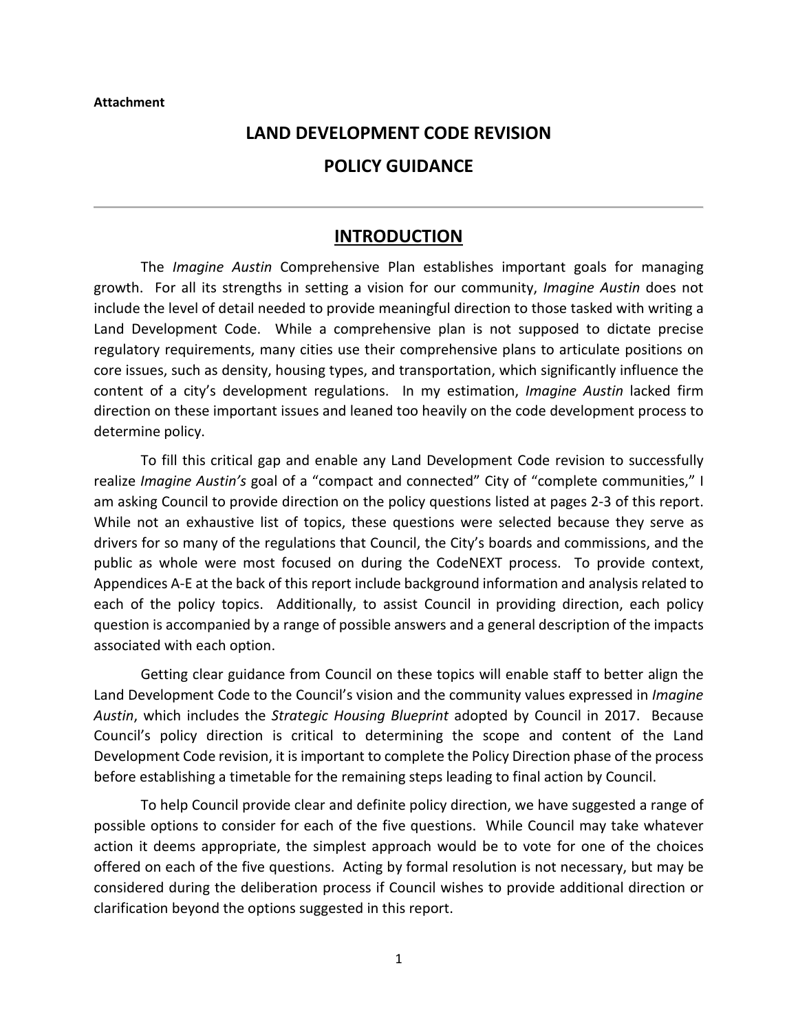#### **Attachment**

#### **LAND DEVELOPMENT CODE REVISION**

#### **POLICY GUIDANCE**

#### **INTRODUCTION**

The *Imagine Austin* Comprehensive Plan establishes important goals for managing growth. For all its strengths in setting a vision for our community, *Imagine Austin* does not include the level of detail needed to provide meaningful direction to those tasked with writing a Land Development Code. While a comprehensive plan is not supposed to dictate precise regulatory requirements, many cities use their comprehensive plans to articulate positions on core issues, such as density, housing types, and transportation, which significantly influence the content of a city's development regulations. In my estimation, *Imagine Austin* lacked firm direction on these important issues and leaned too heavily on the code development process to determine policy.

To fill this critical gap and enable any Land Development Code revision to successfully realize *Imagine Austin's* goal of a "compact and connected" City of "complete communities," I am asking Council to provide direction on the policy questions listed at pages 2-3 of this report. While not an exhaustive list of topics, these questions were selected because they serve as drivers for so many of the regulations that Council, the City's boards and commissions, and the public as whole were most focused on during the CodeNEXT process. To provide context, Appendices A-E at the back of this report include background information and analysis related to each of the policy topics. Additionally, to assist Council in providing direction, each policy question is accompanied by a range of possible answers and a general description of the impacts associated with each option.

Getting clear guidance from Council on these topics will enable staff to better align the Land Development Code to the Council's vision and the community values expressed in *Imagine Austin*, which includes the *Strategic Housing Blueprint* adopted by Council in 2017. Because Council's policy direction is critical to determining the scope and content of the Land Development Code revision, it is important to complete the Policy Direction phase of the process before establishing a timetable for the remaining steps leading to final action by Council.

To help Council provide clear and definite policy direction, we have suggested a range of possible options to consider for each of the five questions. While Council may take whatever action it deems appropriate, the simplest approach would be to vote for one of the choices offered on each of the five questions. Acting by formal resolution is not necessary, but may be considered during the deliberation process if Council wishes to provide additional direction or clarification beyond the options suggested in this report.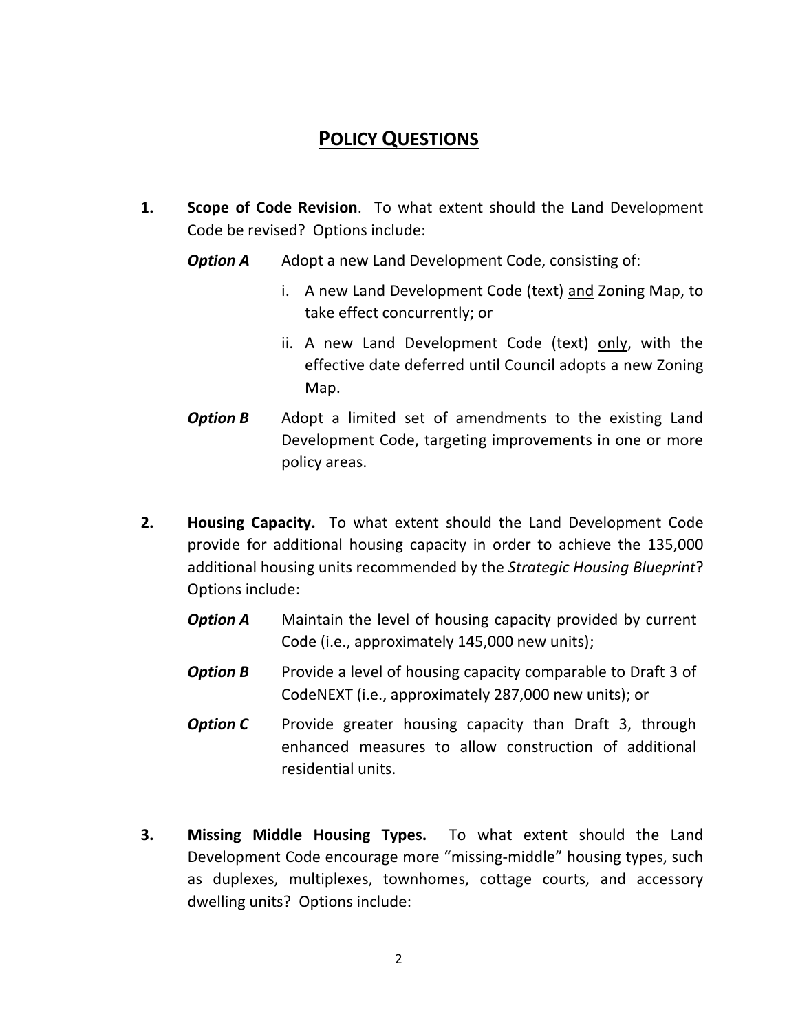# **POLICY QUESTIONS**

- **1. Scope of Code Revision**. To what extent should the Land Development Code be revised? Options include:
	- **Option A** Adopt a new Land Development Code, consisting of:
		- i. A new Land Development Code (text) and Zoning Map, to take effect concurrently; or
		- ii. A new Land Development Code (text) only, with the effective date deferred until Council adopts a new Zoning Map.
	- **Option B** Adopt a limited set of amendments to the existing Land Development Code, targeting improvements in one or more policy areas.
- **2. Housing Capacity.** To what extent should the Land Development Code provide for additional housing capacity in order to achieve the 135,000 additional housing units recommended by the *Strategic Housing Blueprint*? Options include:
	- **Option A** Maintain the level of housing capacity provided by current Code (i.e., approximately 145,000 new units);
	- **Option B** Provide a level of housing capacity comparable to Draft 3 of CodeNEXT (i.e., approximately 287,000 new units); or
	- *Option C* Provide greater housing capacity than Draft 3, through enhanced measures to allow construction of additional residential units.
- **3. Missing Middle Housing Types.** To what extent should the Land Development Code encourage more "missing-middle" housing types, such as duplexes, multiplexes, townhomes, cottage courts, and accessory dwelling units? Options include: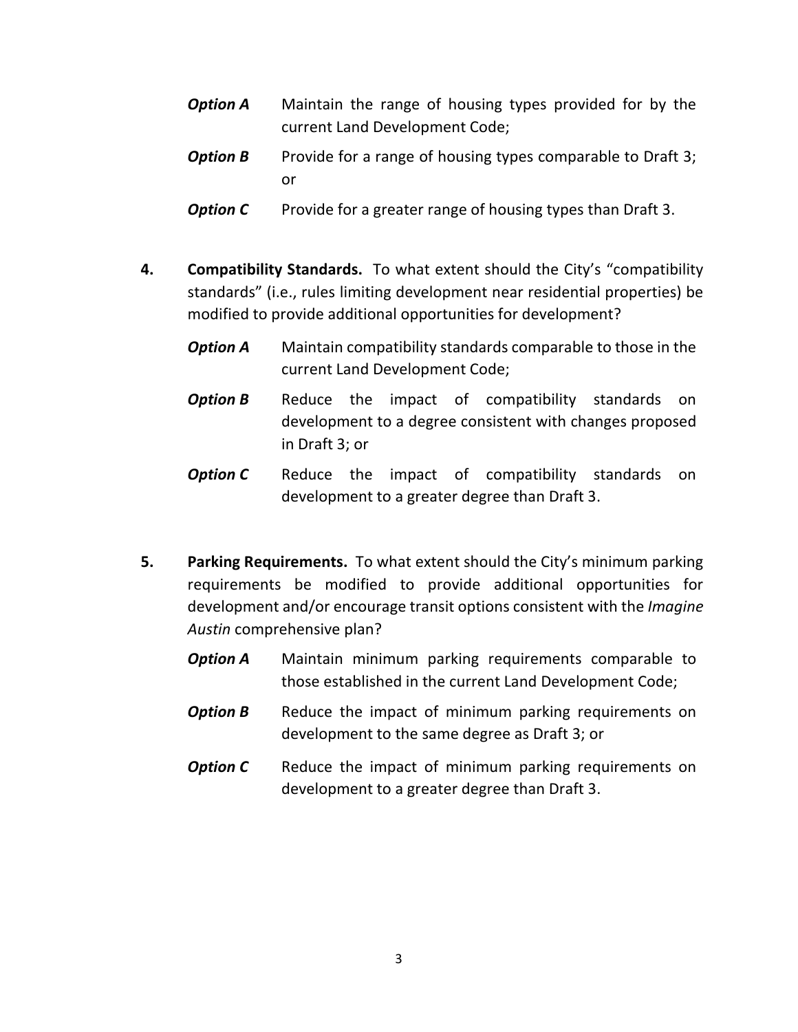- *Option A* Maintain the range of housing types provided for by the current Land Development Code;
- **Option B** Provide for a range of housing types comparable to Draft 3; or
- **Option C** Provide for a greater range of housing types than Draft 3.
- **4. Compatibility Standards.** To what extent should the City's "compatibility standards" (i.e., rules limiting development near residential properties) be modified to provide additional opportunities for development?
	- *Option A* Maintain compatibility standards comparable to those in the current Land Development Code;
	- **Option B** Reduce the impact of compatibility standards on development to a degree consistent with changes proposed in Draft 3; or
	- **Option C** Reduce the impact of compatibility standards on development to a greater degree than Draft 3.
- **5. Parking Requirements.** To what extent should the City's minimum parking requirements be modified to provide additional opportunities for development and/or encourage transit options consistent with the *Imagine Austin* comprehensive plan?
	- **Option A** Maintain minimum parking requirements comparable to those established in the current Land Development Code;
	- **Option B** Reduce the impact of minimum parking requirements on development to the same degree as Draft 3; or
	- **Option C** Reduce the impact of minimum parking requirements on development to a greater degree than Draft 3.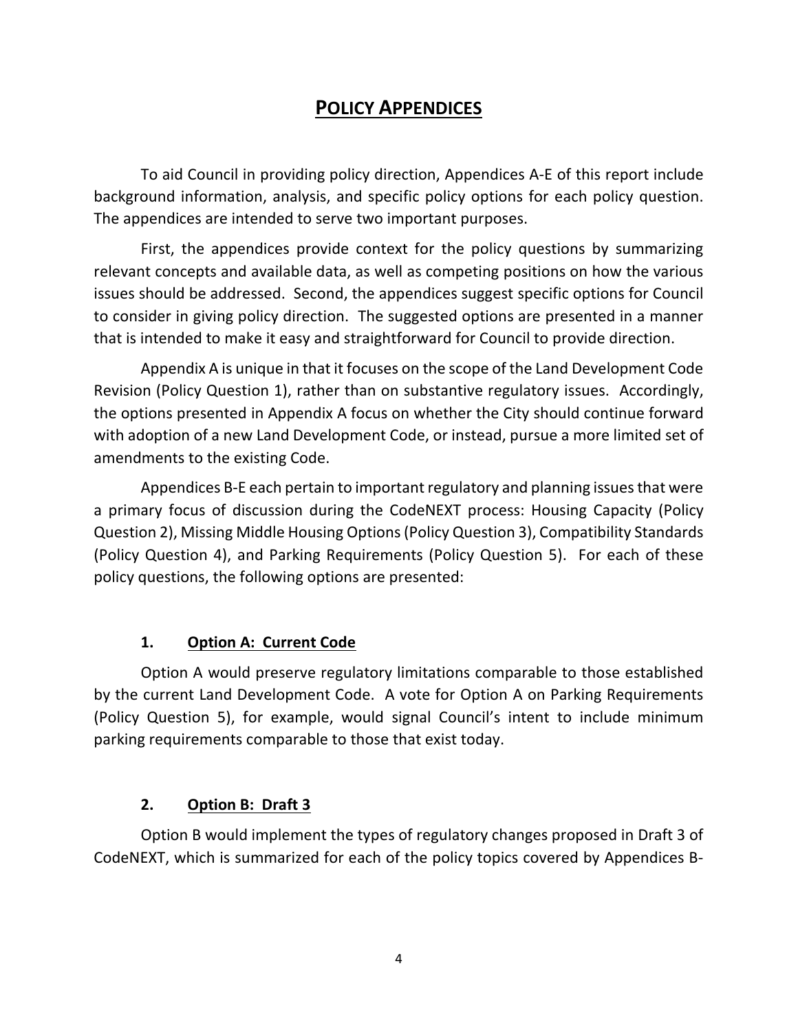# **POLICY APPENDICES**

To aid Council in providing policy direction, Appendices A-E of this report include background information, analysis, and specific policy options for each policy question. The appendices are intended to serve two important purposes.

First, the appendices provide context for the policy questions by summarizing relevant concepts and available data, as well as competing positions on how the various issues should be addressed. Second, the appendices suggest specific options for Council to consider in giving policy direction. The suggested options are presented in a manner that is intended to make it easy and straightforward for Council to provide direction.

Appendix A is unique in that it focuses on the scope of the Land Development Code Revision (Policy Question 1), rather than on substantive regulatory issues. Accordingly, the options presented in Appendix A focus on whether the City should continue forward with adoption of a new Land Development Code, or instead, pursue a more limited set of amendments to the existing Code.

Appendices B-E each pertain to important regulatory and planning issues that were a primary focus of discussion during the CodeNEXT process: Housing Capacity (Policy Question 2), Missing Middle Housing Options (Policy Question 3), Compatibility Standards (Policy Question 4), and Parking Requirements (Policy Question 5). For each of these policy questions, the following options are presented:

#### **1. Option A: Current Code**

Option A would preserve regulatory limitations comparable to those established by the current Land Development Code. A vote for Option A on Parking Requirements (Policy Question 5), for example, would signal Council's intent to include minimum parking requirements comparable to those that exist today.

#### **2. Option B: Draft 3**

Option B would implement the types of regulatory changes proposed in Draft 3 of CodeNEXT, which is summarized for each of the policy topics covered by Appendices B-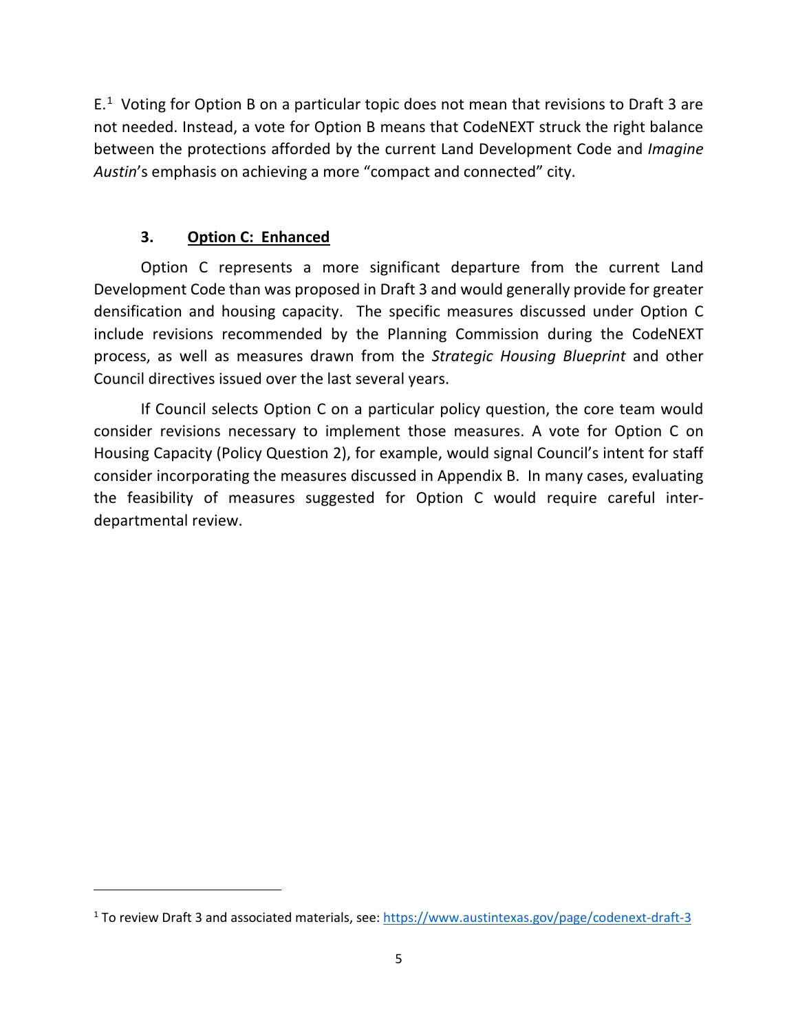$E<sup>1</sup>$  $E<sup>1</sup>$  $E<sup>1</sup>$  Voting for Option B on a particular topic does not mean that revisions to Draft 3 are not needed. Instead, a vote for Option B means that CodeNEXT struck the right balance between the protections afforded by the current Land Development Code and *Imagine Austin*'s emphasis on achieving a more "compact and connected" city.

#### **3. Option C: Enhanced**

l

Option C represents a more significant departure from the current Land Development Code than was proposed in Draft 3 and would generally provide for greater densification and housing capacity. The specific measures discussed under Option C include revisions recommended by the Planning Commission during the CodeNEXT process, as well as measures drawn from the *Strategic Housing Blueprint* and other Council directives issued over the last several years.

If Council selects Option C on a particular policy question, the core team would consider revisions necessary to implement those measures. A vote for Option C on Housing Capacity (Policy Question 2), for example, would signal Council's intent for staff consider incorporating the measures discussed in Appendix B. In many cases, evaluating the feasibility of measures suggested for Option C would require careful interdepartmental review.

<span id="page-6-0"></span><sup>&</sup>lt;sup>1</sup> To review Draft 3 and associated materials, see:<https://www.austintexas.gov/page/codenext-draft-3>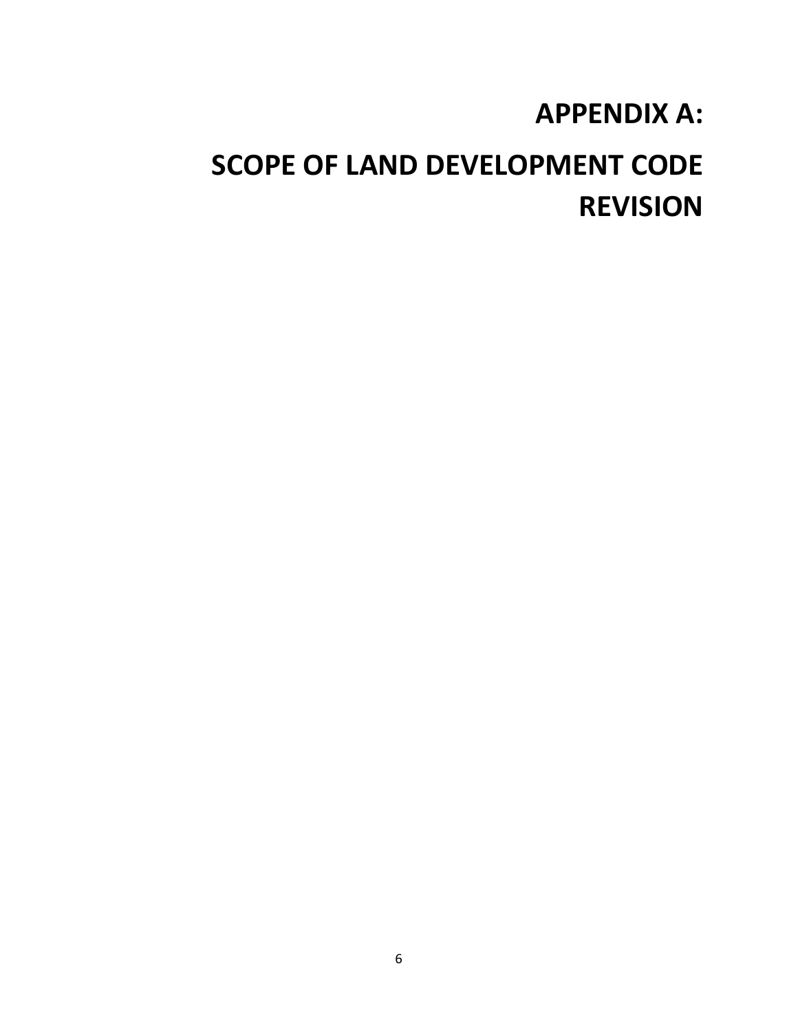# **APPENDIX A:**

# **SCOPE OF LAND DEVELOPMENT CODE REVISION**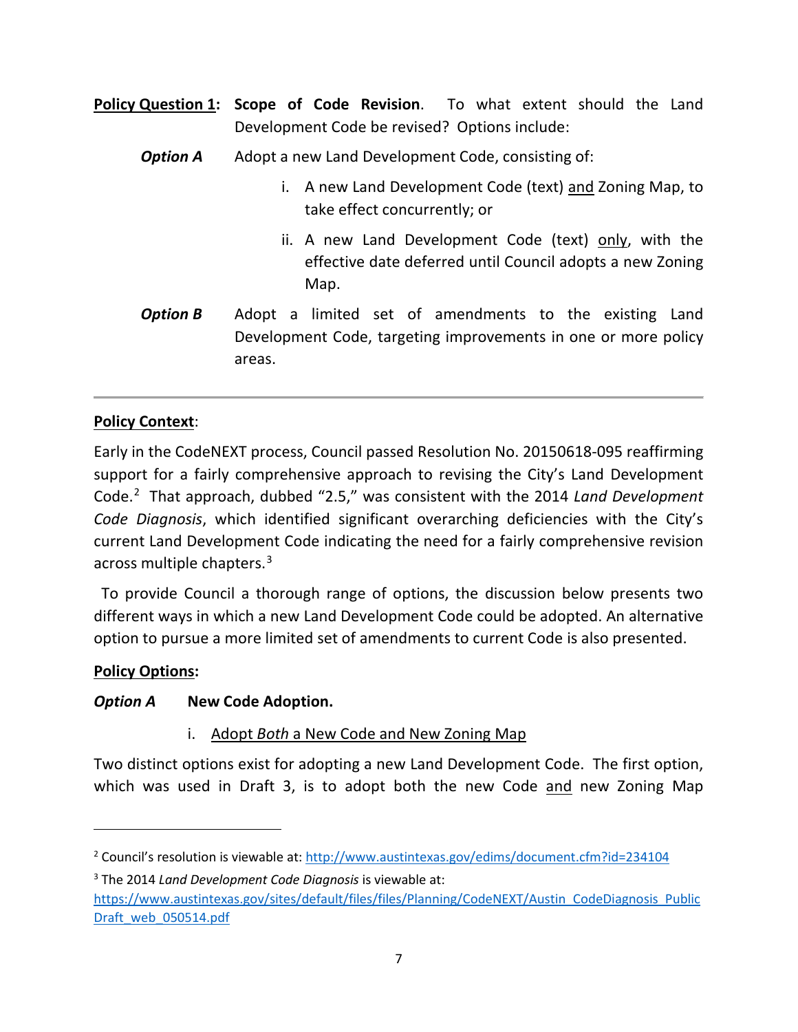- **Policy Question 1: Scope of Code Revision**. To what extent should the Land Development Code be revised? Options include:
	- **Option A** Adopt a new Land Development Code, consisting of:
		- i. A new Land Development Code (text) and Zoning Map, to take effect concurrently; or
		- ii. A new Land Development Code (text) only, with the effective date deferred until Council adopts a new Zoning Map.
	- **Option B** Adopt a limited set of amendments to the existing Land Development Code, targeting improvements in one or more policy areas.

#### **Policy Context**:

Early in the CodeNEXT process, Council passed Resolution No. 20150618-095 reaffirming support for a fairly comprehensive approach to revising the City's Land Development Code. [2](#page-8-0) That approach, dubbed "2.5," was consistent with the 2014 *Land Development Code Diagnosis*, which identified significant overarching deficiencies with the City's current Land Development Code indicating the need for a fairly comprehensive revision across multiple chapters.<sup>[3](#page-8-1)</sup>

 To provide Council a thorough range of options, the discussion below presents two different ways in which a new Land Development Code could be adopted. An alternative option to pursue a more limited set of amendments to current Code is also presented.

#### **Policy Options:**

 $\overline{\phantom{a}}$ 

#### *Option A* **New Code Adoption.**

i. Adopt *Both* a New Code and New Zoning Map

Two distinct options exist for adopting a new Land Development Code. The first option, which was used in Draft 3, is to adopt both the new Code and new Zoning Map

<span id="page-8-1"></span><sup>3</sup> The 2014 *Land Development Code Diagnosis* is viewable at:

<span id="page-8-0"></span><sup>&</sup>lt;sup>2</sup> Council's resolution is viewable at[: http://www.austintexas.gov/edims/document.cfm?id=234104](http://www.austintexas.gov/edims/document.cfm?id=234104)

[https://www.austintexas.gov/sites/default/files/files/Planning/CodeNEXT/Austin\\_CodeDiagnosis\\_Public](https://www.austintexas.gov/sites/default/files/files/Planning/CodeNEXT/Austin_CodeDiagnosis_PublicDraft_web_050514.pdf) [Draft\\_web\\_050514.pdf](https://www.austintexas.gov/sites/default/files/files/Planning/CodeNEXT/Austin_CodeDiagnosis_PublicDraft_web_050514.pdf)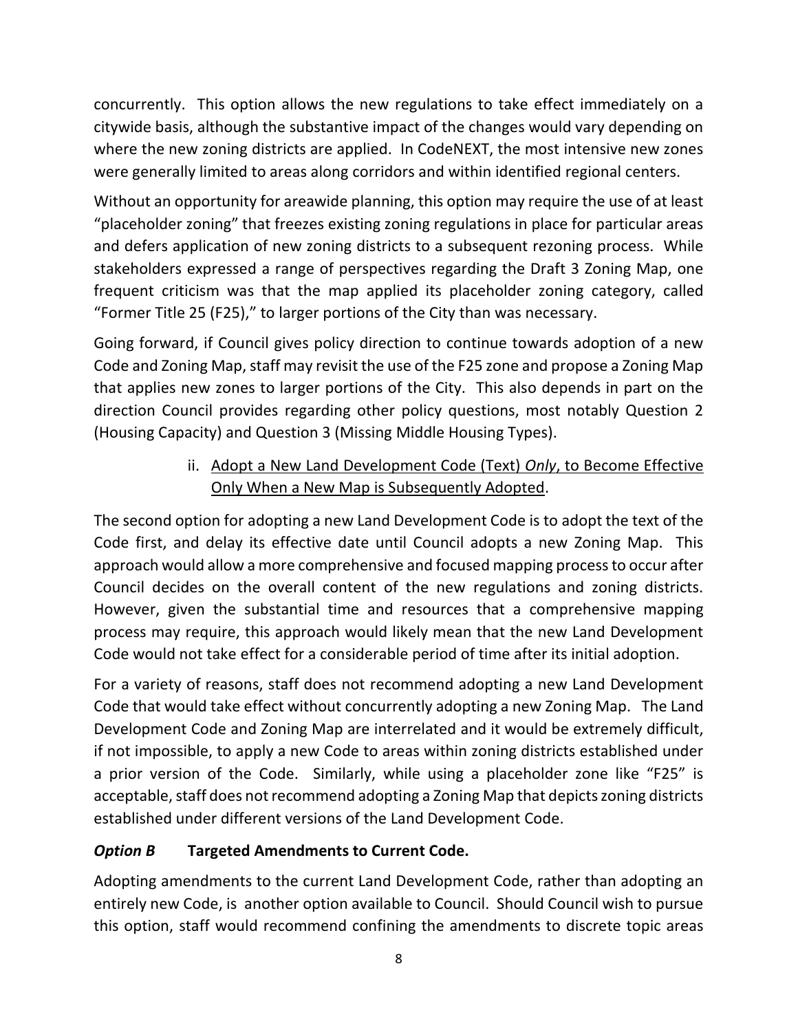concurrently. This option allows the new regulations to take effect immediately on a citywide basis, although the substantive impact of the changes would vary depending on where the new zoning districts are applied. In CodeNEXT, the most intensive new zones were generally limited to areas along corridors and within identified regional centers.

Without an opportunity for areawide planning, this option may require the use of at least "placeholder zoning" that freezes existing zoning regulations in place for particular areas and defers application of new zoning districts to a subsequent rezoning process. While stakeholders expressed a range of perspectives regarding the Draft 3 Zoning Map, one frequent criticism was that the map applied its placeholder zoning category, called "Former Title 25 (F25)," to larger portions of the City than was necessary.

Going forward, if Council gives policy direction to continue towards adoption of a new Code and Zoning Map, staff may revisit the use of the F25 zone and propose a Zoning Map that applies new zones to larger portions of the City. This also depends in part on the direction Council provides regarding other policy questions, most notably Question 2 (Housing Capacity) and Question 3 (Missing Middle Housing Types).

#### ii. Adopt a New Land Development Code (Text) *Only*, to Become Effective Only When a New Map is Subsequently Adopted.

The second option for adopting a new Land Development Code is to adopt the text of the Code first, and delay its effective date until Council adopts a new Zoning Map. This approach would allow a more comprehensive and focused mapping process to occur after Council decides on the overall content of the new regulations and zoning districts. However, given the substantial time and resources that a comprehensive mapping process may require, this approach would likely mean that the new Land Development Code would not take effect for a considerable period of time after its initial adoption.

For a variety of reasons, staff does not recommend adopting a new Land Development Code that would take effect without concurrently adopting a new Zoning Map. The Land Development Code and Zoning Map are interrelated and it would be extremely difficult, if not impossible, to apply a new Code to areas within zoning districts established under a prior version of the Code. Similarly, while using a placeholder zone like "F25" is acceptable, staff does not recommend adopting a Zoning Map that depicts zoning districts established under different versions of the Land Development Code.

# *Option B* **Targeted Amendments to Current Code.**

Adopting amendments to the current Land Development Code, rather than adopting an entirely new Code, is another option available to Council. Should Council wish to pursue this option, staff would recommend confining the amendments to discrete topic areas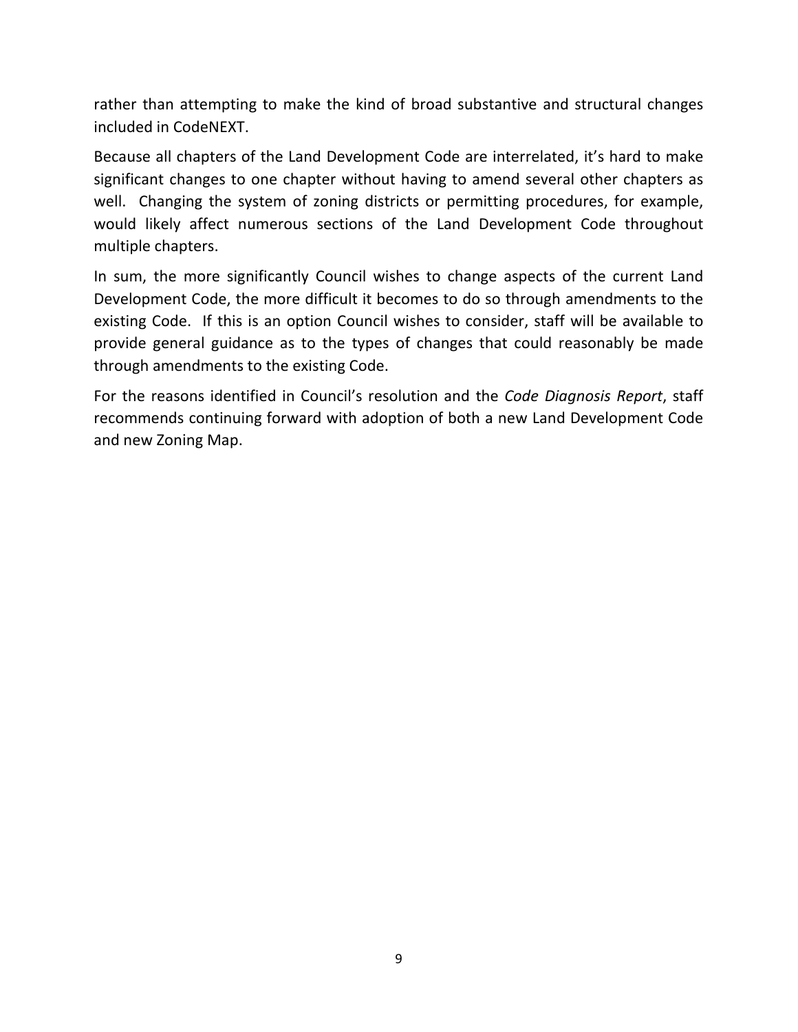rather than attempting to make the kind of broad substantive and structural changes included in CodeNEXT.

Because all chapters of the Land Development Code are interrelated, it's hard to make significant changes to one chapter without having to amend several other chapters as well. Changing the system of zoning districts or permitting procedures, for example, would likely affect numerous sections of the Land Development Code throughout multiple chapters.

In sum, the more significantly Council wishes to change aspects of the current Land Development Code, the more difficult it becomes to do so through amendments to the existing Code. If this is an option Council wishes to consider, staff will be available to provide general guidance as to the types of changes that could reasonably be made through amendments to the existing Code.

For the reasons identified in Council's resolution and the *Code Diagnosis Report*, staff recommends continuing forward with adoption of both a new Land Development Code and new Zoning Map.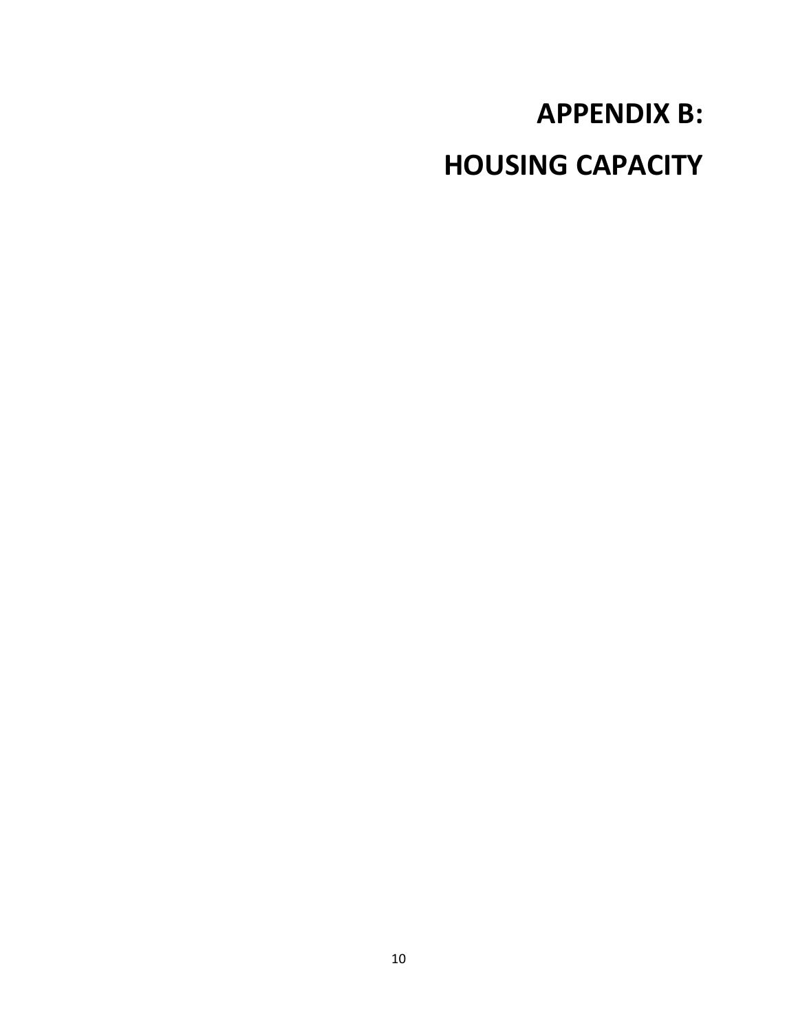# **APPENDIX B: HOUSING CAPACITY**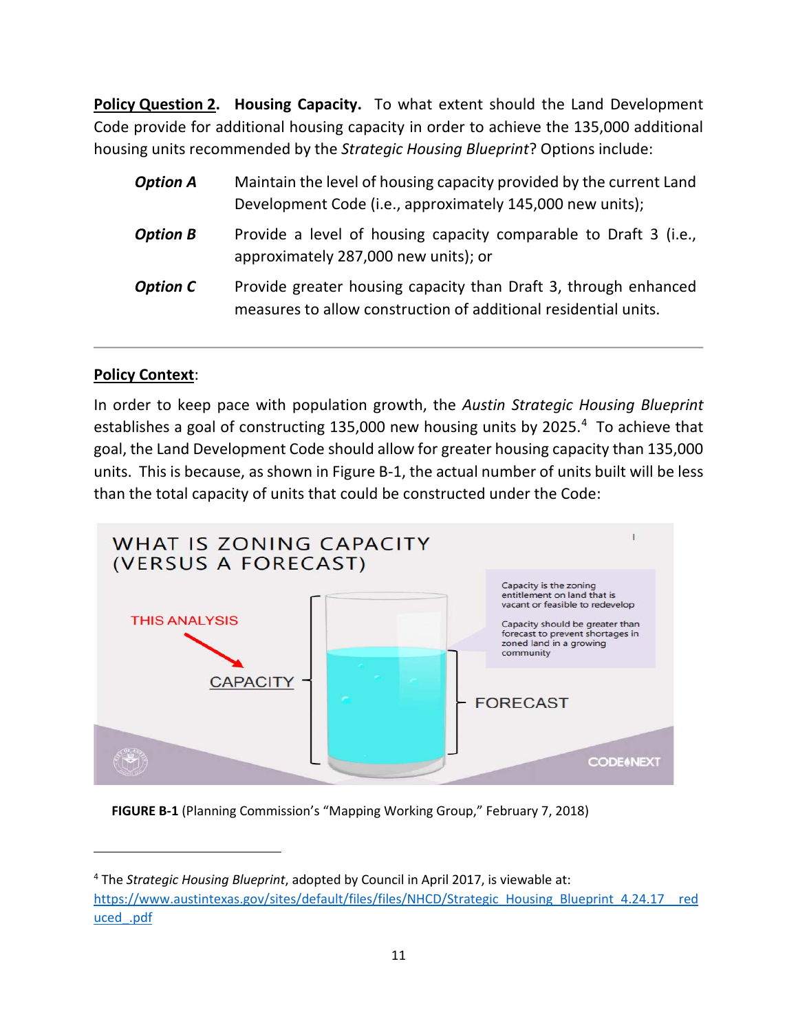**Policy Question 2. Housing Capacity.** To what extent should the Land Development Code provide for additional housing capacity in order to achieve the 135,000 additional housing units recommended by the *Strategic Housing Blueprint*? Options include:

| <b>Option A</b> | Maintain the level of housing capacity provided by the current Land<br>Development Code (i.e., approximately 145,000 new units);   |
|-----------------|------------------------------------------------------------------------------------------------------------------------------------|
| <b>Option B</b> | Provide a level of housing capacity comparable to Draft 3 (i.e.,<br>approximately 287,000 new units); or                           |
| <b>Option C</b> | Provide greater housing capacity than Draft 3, through enhanced<br>measures to allow construction of additional residential units. |

#### **Policy Context**:

l

In order to keep pace with population growth, the *Austin Strategic Housing Blueprint* establishes a goal of constructing 135,000 new housing units by 2025.<sup>[4](#page-12-0)</sup> To achieve that goal, the Land Development Code should allow for greater housing capacity than 135,000 units. This is because, as shown in Figure B-1, the actual number of units built will be less than the total capacity of units that could be constructed under the Code:



**FIGURE B-1** (Planning Commission's "Mapping Working Group," February 7, 2018)

<span id="page-12-0"></span><sup>4</sup> The *Strategic Housing Blueprint*, adopted by Council in April 2017, is viewable at: [https://www.austintexas.gov/sites/default/files/files/NHCD/Strategic\\_Housing\\_Blueprint\\_4.24.17\\_\\_red](https://www.austintexas.gov/sites/default/files/files/NHCD/Strategic_Housing_Blueprint_4.24.17__reduced_.pdf) [uced\\_.pdf](https://www.austintexas.gov/sites/default/files/files/NHCD/Strategic_Housing_Blueprint_4.24.17__reduced_.pdf)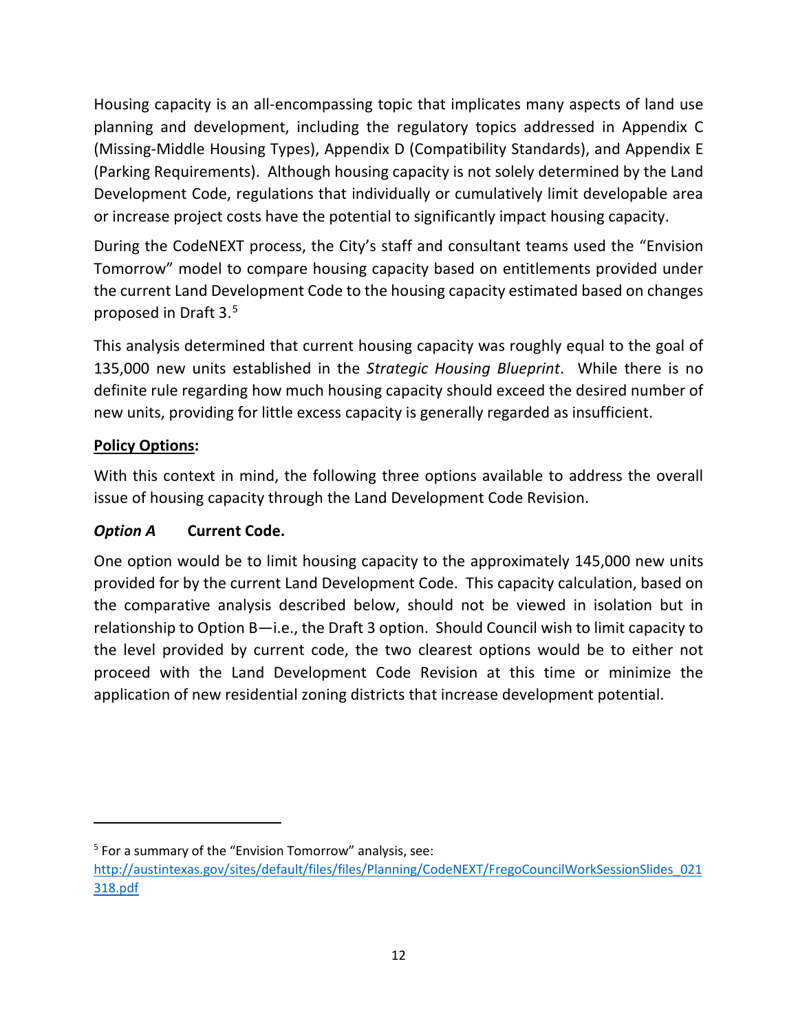Housing capacity is an all-encompassing topic that implicates many aspects of land use planning and development, including the regulatory topics addressed in Appendix C (Missing-Middle Housing Types), Appendix D (Compatibility Standards), and Appendix E (Parking Requirements). Although housing capacity is not solely determined by the Land Development Code, regulations that individually or cumulatively limit developable area or increase project costs have the potential to significantly impact housing capacity.

During the CodeNEXT process, the City's staff and consultant teams used the "Envision Tomorrow" model to compare housing capacity based on entitlements provided under the current Land Development Code to the housing capacity estimated based on changes proposed in Draft 3. [5](#page-13-0)

This analysis determined that current housing capacity was roughly equal to the goal of 135,000 new units established in the *Strategic Housing Blueprint*. While there is no definite rule regarding how much housing capacity should exceed the desired number of new units, providing for little excess capacity is generally regarded as insufficient.

#### **Policy Options:**

l

With this context in mind, the following three options available to address the overall issue of housing capacity through the Land Development Code Revision.

#### *Option A* **Current Code.**

One option would be to limit housing capacity to the approximately 145,000 new units provided for by the current Land Development Code. This capacity calculation, based on the comparative analysis described below, should not be viewed in isolation but in relationship to Option B—i.e., the Draft 3 option. Should Council wish to limit capacity to the level provided by current code, the two clearest options would be to either not proceed with the Land Development Code Revision at this time or minimize the application of new residential zoning districts that increase development potential.

<span id="page-13-0"></span><sup>5</sup> For a summary of the "Envision Tomorrow" analysis, see:

http://austintexas.gov/sites/default/files/files/Planning/CodeNEXT/FregoCouncilWorkSessionSlides\_021 318.pdf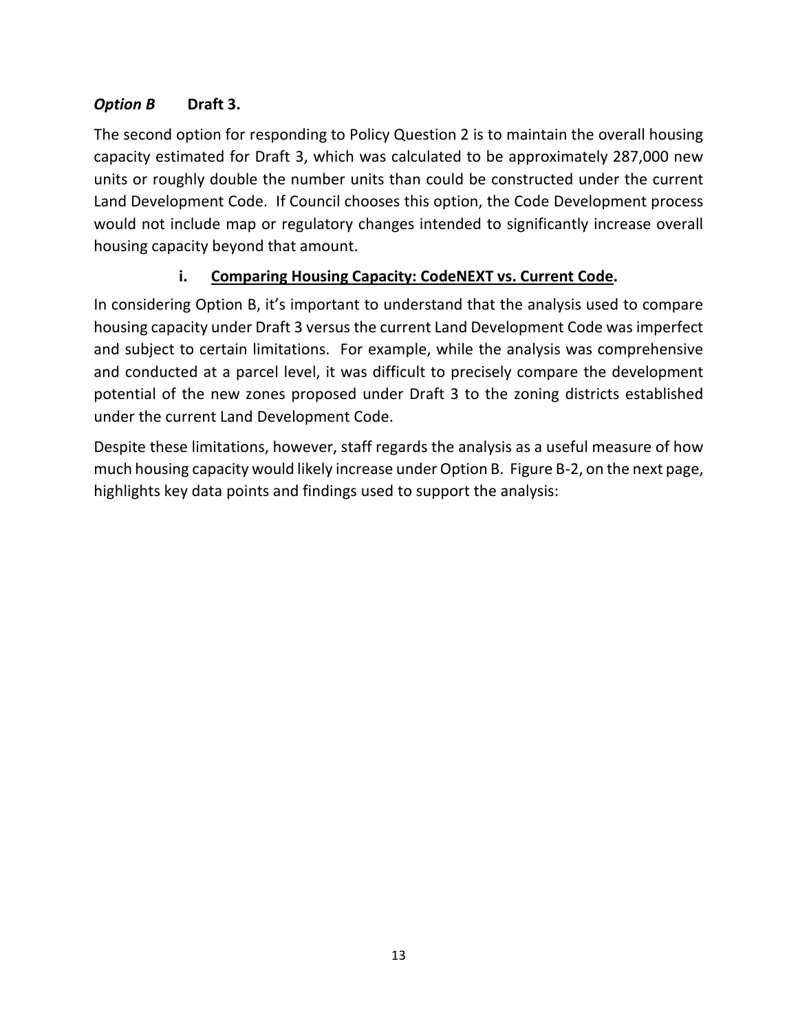#### *Option B* **Draft 3.**

The second option for responding to Policy Question 2 is to maintain the overall housing capacity estimated for Draft 3, which was calculated to be approximately 287,000 new units or roughly double the number units than could be constructed under the current Land Development Code. If Council chooses this option, the Code Development process would not include map or regulatory changes intended to significantly increase overall housing capacity beyond that amount.

# **i. Comparing Housing Capacity: CodeNEXT vs. Current Code.**

In considering Option B, it's important to understand that the analysis used to compare housing capacity under Draft 3 versus the current Land Development Code was imperfect and subject to certain limitations. For example, while the analysis was comprehensive and conducted at a parcel level, it was difficult to precisely compare the development potential of the new zones proposed under Draft 3 to the zoning districts established under the current Land Development Code.

Despite these limitations, however, staff regards the analysis as a useful measure of how much housing capacity would likely increase under Option B. Figure B-2, on the next page, highlights key data points and findings used to support the analysis: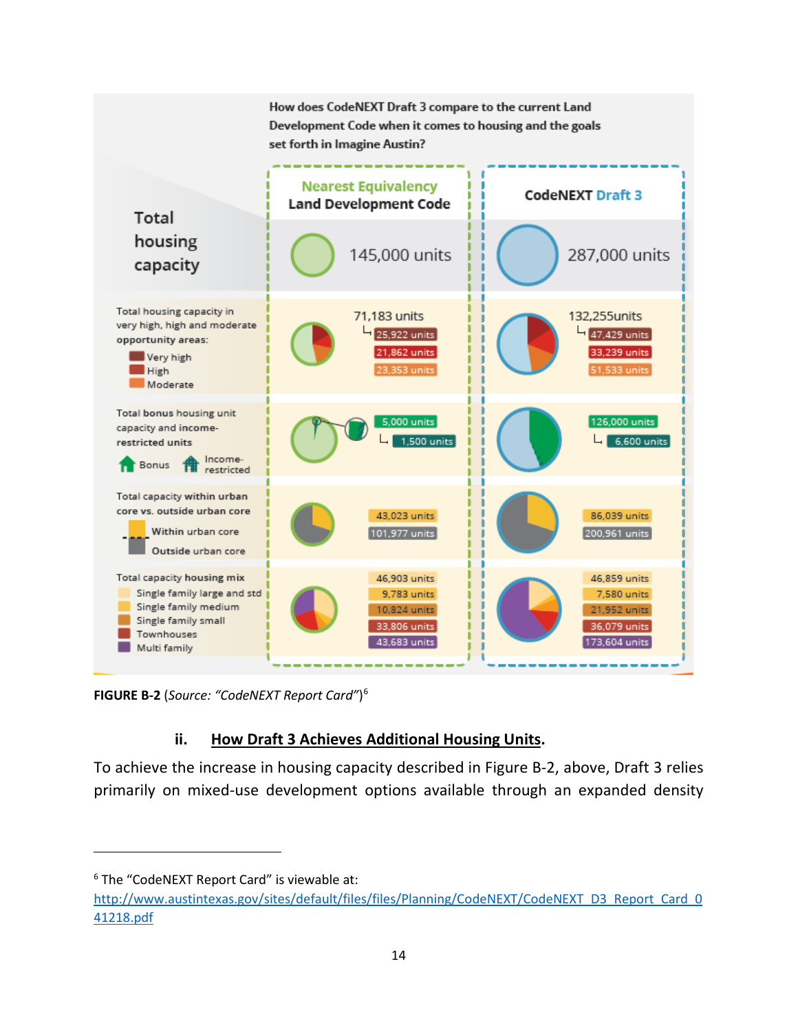

**FIGURE B-2** (*Source: "CodeNEXT Report Card"*) [6](#page-15-0)

#### **ii. How Draft 3 Achieves Additional Housing Units.**

To achieve the increase in housing capacity described in Figure B-2, above, Draft 3 relies primarily on mixed-use development options available through an expanded density

l

<span id="page-15-0"></span><sup>&</sup>lt;sup>6</sup> The "CodeNEXT Report Card" is viewable at:

[http://www.austintexas.gov/sites/default/files/files/Planning/CodeNEXT/CodeNEXT\\_D3\\_Report\\_Card\\_0](http://www.austintexas.gov/sites/default/files/files/Planning/CodeNEXT/CodeNEXT_D3_Report_Card_041218.pdf) [41218.pdf](http://www.austintexas.gov/sites/default/files/files/Planning/CodeNEXT/CodeNEXT_D3_Report_Card_041218.pdf)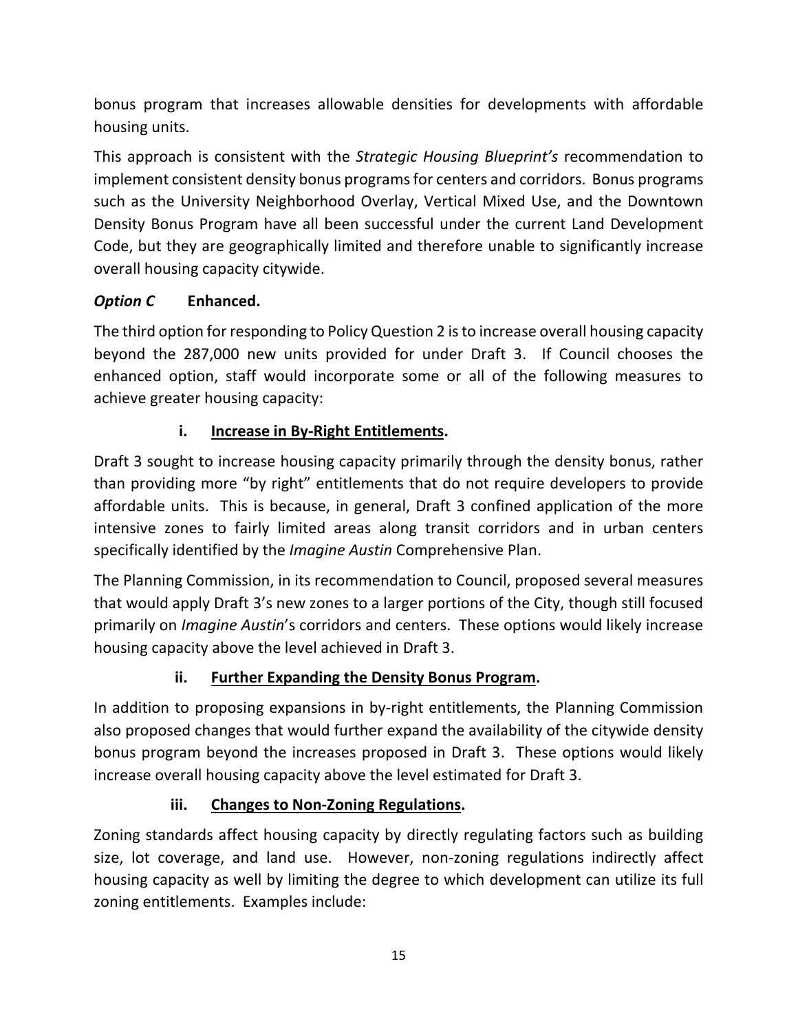bonus program that increases allowable densities for developments with affordable housing units.

This approach is consistent with the *Strategic Housing Blueprint's* recommendation to implement consistent density bonus programs for centers and corridors. Bonus programs such as the University Neighborhood Overlay, Vertical Mixed Use, and the Downtown Density Bonus Program have all been successful under the current Land Development Code, but they are geographically limited and therefore unable to significantly increase overall housing capacity citywide.

#### *Option C* **Enhanced.**

The third option for responding to Policy Question 2 is to increase overall housing capacity beyond the 287,000 new units provided for under Draft 3. If Council chooses the enhanced option, staff would incorporate some or all of the following measures to achieve greater housing capacity:

#### **i. Increase in By-Right Entitlements.**

Draft 3 sought to increase housing capacity primarily through the density bonus, rather than providing more "by right" entitlements that do not require developers to provide affordable units. This is because, in general, Draft 3 confined application of the more intensive zones to fairly limited areas along transit corridors and in urban centers specifically identified by the *Imagine Austin* Comprehensive Plan.

The Planning Commission, in its recommendation to Council, proposed several measures that would apply Draft 3's new zones to a larger portions of the City, though still focused primarily on *Imagine Austin*'s corridors and centers. These options would likely increase housing capacity above the level achieved in Draft 3.

#### **ii. Further Expanding the Density Bonus Program.**

In addition to proposing expansions in by-right entitlements, the Planning Commission also proposed changes that would further expand the availability of the citywide density bonus program beyond the increases proposed in Draft 3. These options would likely increase overall housing capacity above the level estimated for Draft 3.

#### **iii. Changes to Non-Zoning Regulations.**

Zoning standards affect housing capacity by directly regulating factors such as building size, lot coverage, and land use. However, non-zoning regulations indirectly affect housing capacity as well by limiting the degree to which development can utilize its full zoning entitlements. Examples include: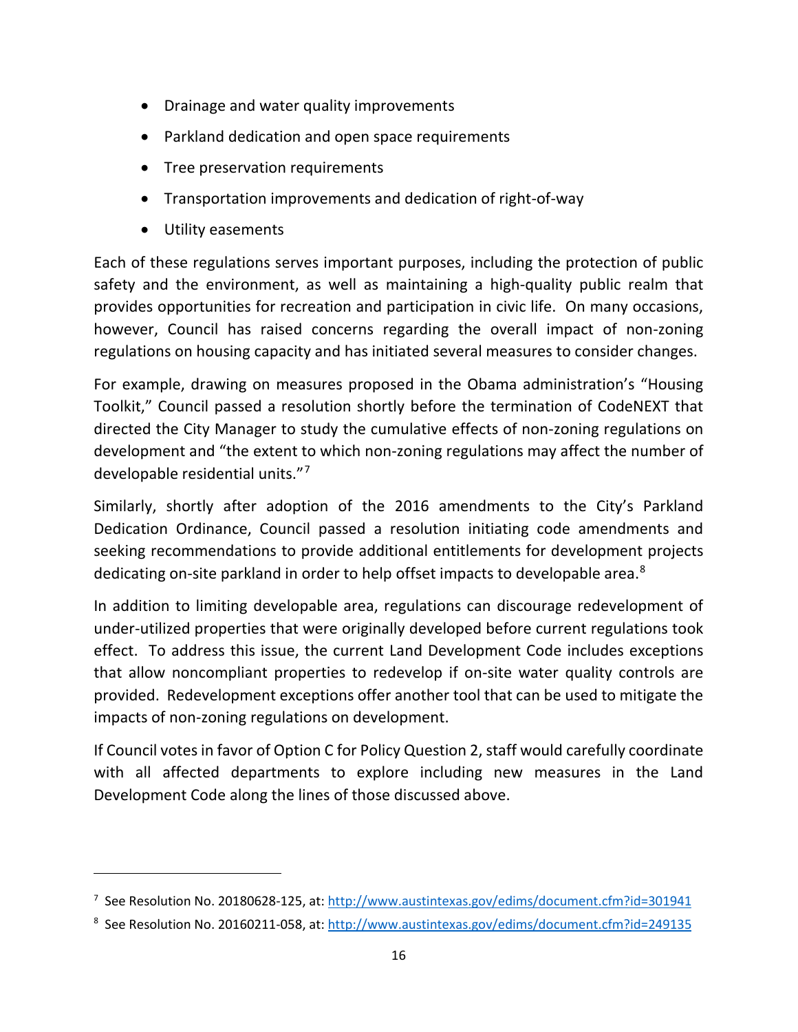- Drainage and water quality improvements
- Parkland dedication and open space requirements
- Tree preservation requirements
- Transportation improvements and dedication of right-of-way
- Utility easements

l

Each of these regulations serves important purposes, including the protection of public safety and the environment, as well as maintaining a high-quality public realm that provides opportunities for recreation and participation in civic life. On many occasions, however, Council has raised concerns regarding the overall impact of non-zoning regulations on housing capacity and has initiated several measures to consider changes.

For example, drawing on measures proposed in the Obama administration's "Housing Toolkit," Council passed a resolution shortly before the termination of CodeNEXT that directed the City Manager to study the cumulative effects of non-zoning regulations on development and "the extent to which non-zoning regulations may affect the number of developable residential units."[7](#page-17-0)

Similarly, shortly after adoption of the 2016 amendments to the City's Parkland Dedication Ordinance, Council passed a resolution initiating code amendments and seeking recommendations to provide additional entitlements for development projects dedicating on-site parkland in order to help offset impacts to developable area.<sup>[8](#page-17-1)</sup>

In addition to limiting developable area, regulations can discourage redevelopment of under-utilized properties that were originally developed before current regulations took effect. To address this issue, the current Land Development Code includes exceptions that allow noncompliant properties to redevelop if on-site water quality controls are provided. Redevelopment exceptions offer another tool that can be used to mitigate the impacts of non-zoning regulations on development.

If Council votes in favor of Option C for Policy Question 2, staff would carefully coordinate with all affected departments to explore including new measures in the Land Development Code along the lines of those discussed above.

<span id="page-17-0"></span><sup>&</sup>lt;sup>7</sup> See Resolution No. 20180628-125, at[: http://www.austintexas.gov/edims/document.cfm?id=301941](http://www.austintexas.gov/edims/document.cfm?id=301941)

<span id="page-17-1"></span><sup>&</sup>lt;sup>8</sup> See Resolution No. 20160211-058, at[: http://www.austintexas.gov/edims/document.cfm?id=249135](http://www.austintexas.gov/edims/document.cfm?id=249135)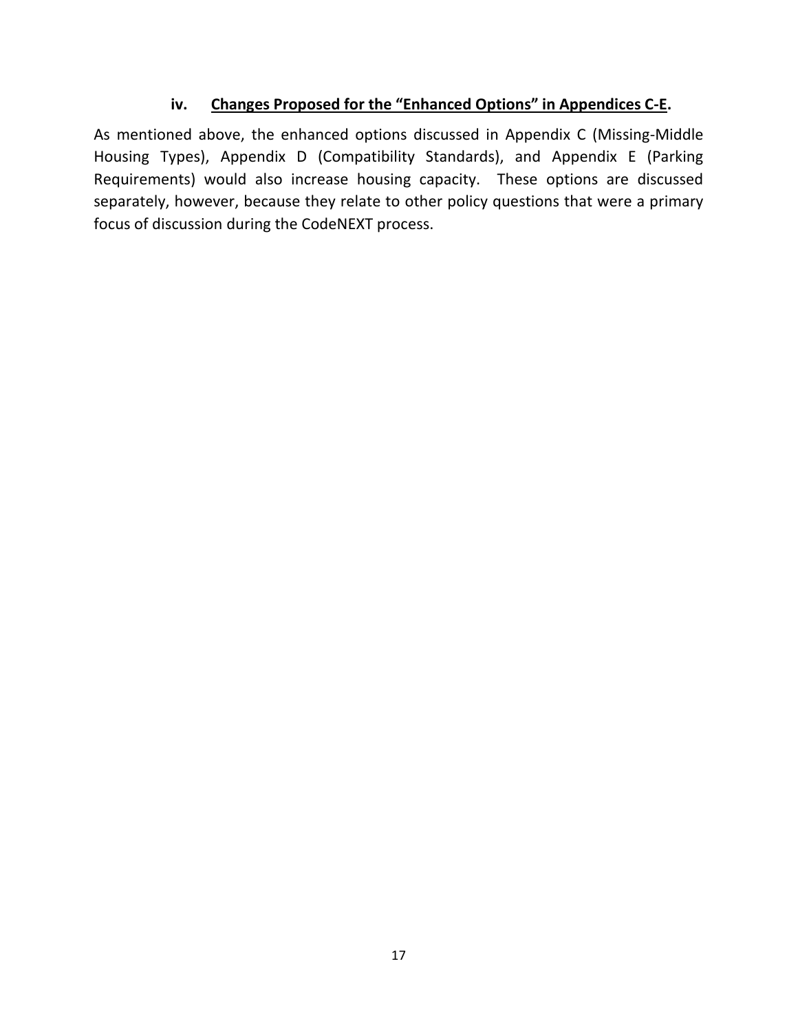#### **iv. Changes Proposed for the "Enhanced Options" in Appendices C-E.**

As mentioned above, the enhanced options discussed in Appendix C (Missing-Middle Housing Types), Appendix D (Compatibility Standards), and Appendix E (Parking Requirements) would also increase housing capacity. These options are discussed separately, however, because they relate to other policy questions that were a primary focus of discussion during the CodeNEXT process.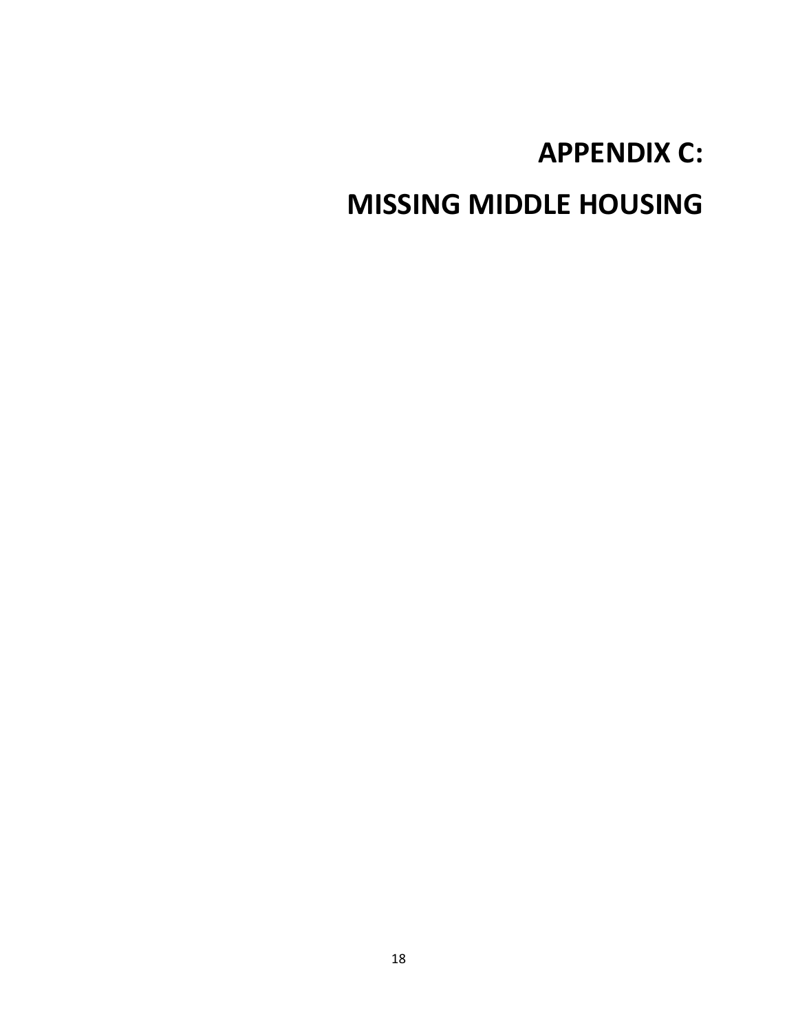# **APPENDIX C:**

# **MISSING MIDDLE HOUSING**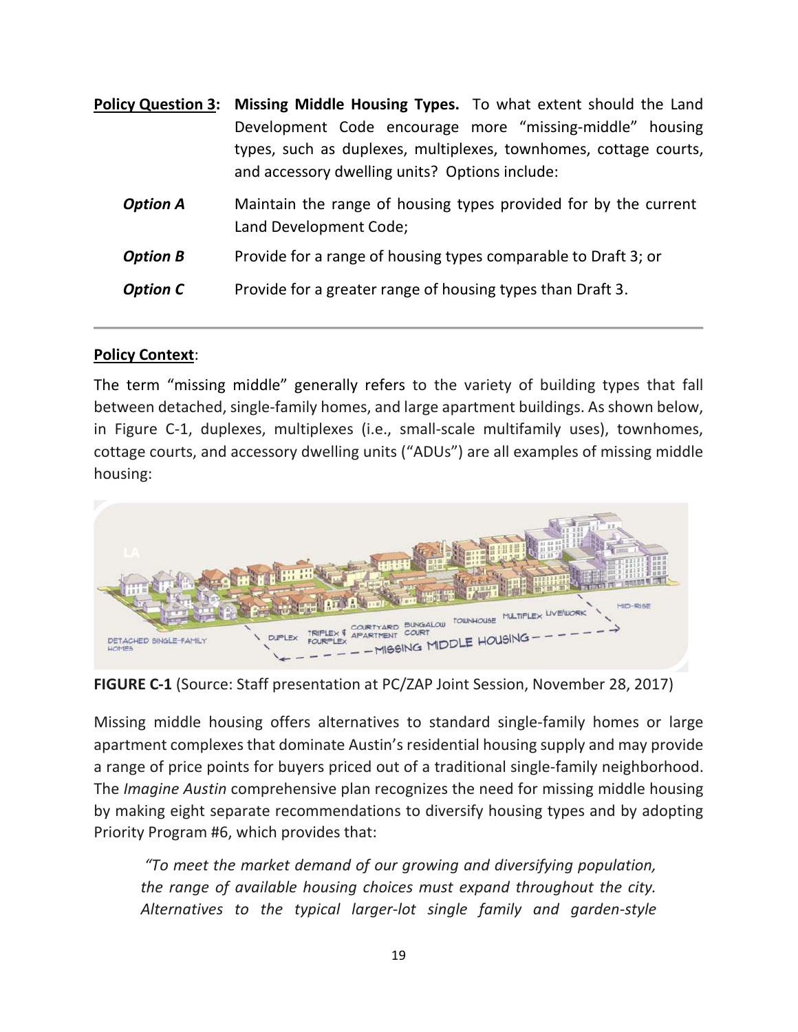| <b>Policy Question 3: Missing Middle Housing Types.</b> To what extent should the Land<br>Development Code encourage more "missing-middle" housing<br>types, such as duplexes, multiplexes, townhomes, cottage courts,<br>and accessory dwelling units? Options include: |  |  |  |
|--------------------------------------------------------------------------------------------------------------------------------------------------------------------------------------------------------------------------------------------------------------------------|--|--|--|
| Maintain the range of housing types provided for by the current<br>Land Development Code;                                                                                                                                                                                |  |  |  |
| Provide for a range of housing types comparable to Draft 3; or                                                                                                                                                                                                           |  |  |  |
| Provide for a greater range of housing types than Draft 3.                                                                                                                                                                                                               |  |  |  |
|                                                                                                                                                                                                                                                                          |  |  |  |

#### **Policy Context**:

The term "missing middle" generally refers to the variety of building types that fall between detached, single-family homes, and large apartment buildings. As shown below, in Figure C-1, duplexes, multiplexes (i.e., small-scale multifamily uses), townhomes, cottage courts, and accessory dwelling units ("ADUs") are all examples of missing middle housing:



**FIGURE C-1** (Source: Staff presentation at PC/ZAP Joint Session, November 28, 2017)

Missing middle housing offers alternatives to standard single-family homes or large apartment complexes that dominate Austin's residential housing supply and may provide a range of price points for buyers priced out of a traditional single-family neighborhood. The *Imagine Austin* comprehensive plan recognizes the need for missing middle housing by making eight separate recommendations to diversify housing types and by adopting Priority Program #6, which provides that:

*"To meet the market demand of our growing and diversifying population, the range of available housing choices must expand throughout the city. Alternatives to the typical larger-lot single family and garden-style*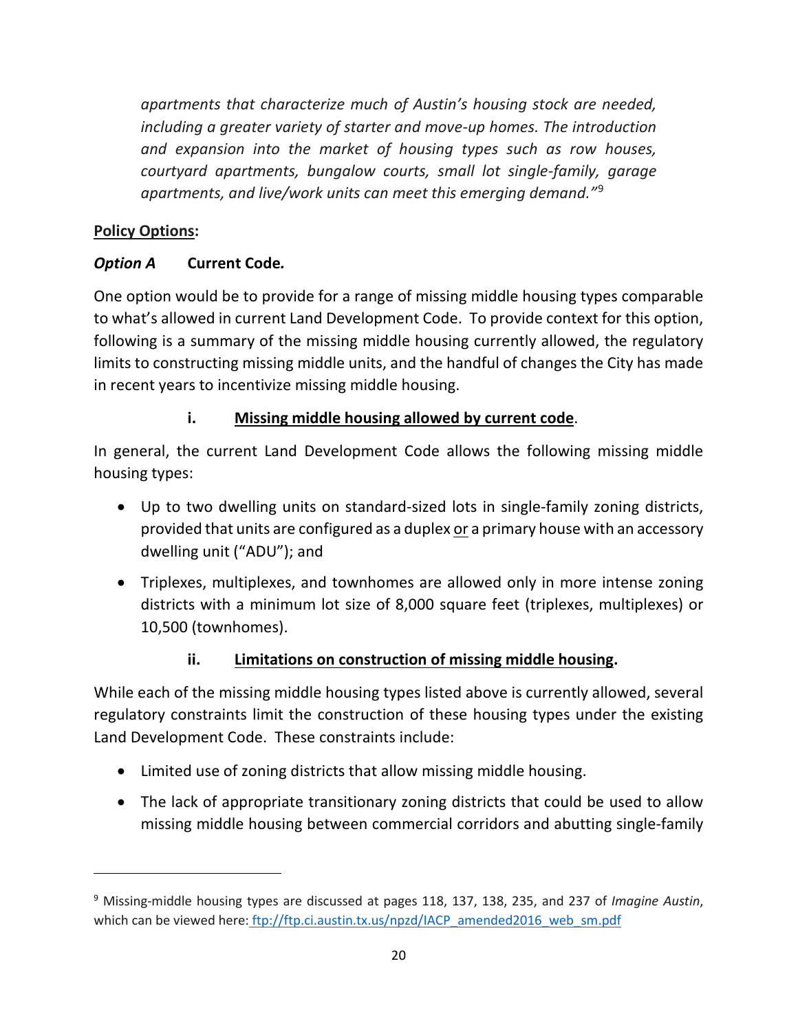*apartments that characterize much of Austin's housing stock are needed, including a greater variety of starter and move-up homes. The introduction and expansion into the market of housing types such as row houses, courtyard apartments, bungalow courts, small lot single-family, garage apartments, and live/work units can meet this emerging demand."*[9](#page-21-0)

#### **Policy Options:**

l

#### *Option A* **Current Code***.*

One option would be to provide for a range of missing middle housing types comparable to what's allowed in current Land Development Code. To provide context for this option, following is a summary of the missing middle housing currently allowed, the regulatory limits to constructing missing middle units, and the handful of changes the City has made in recent years to incentivize missing middle housing.

#### **i. Missing middle housing allowed by current code**.

In general, the current Land Development Code allows the following missing middle housing types:

- Up to two dwelling units on standard-sized lots in single-family zoning districts, provided that units are configured as a duplex or a primary house with an accessory dwelling unit ("ADU"); and
- Triplexes, multiplexes, and townhomes are allowed only in more intense zoning districts with a minimum lot size of 8,000 square feet (triplexes, multiplexes) or 10,500 (townhomes).

#### **ii. Limitations on construction of missing middle housing.**

While each of the missing middle housing types listed above is currently allowed, several regulatory constraints limit the construction of these housing types under the existing Land Development Code. These constraints include:

- Limited use of zoning districts that allow missing middle housing.
- The lack of appropriate transitionary zoning districts that could be used to allow missing middle housing between commercial corridors and abutting single-family

<span id="page-21-0"></span><sup>9</sup> Missing-middle housing types are discussed at pages 118, 137, 138, 235, and 237 of *Imagine Austin*, which can be viewed here: [ftp://ftp.ci.austin.tx.us/npzd/IACP\\_amended2016\\_web\\_sm.pdf](ftp://ftp.ci.austin.tx.us/npzd/IACP_amended2016_web_sm.pdf)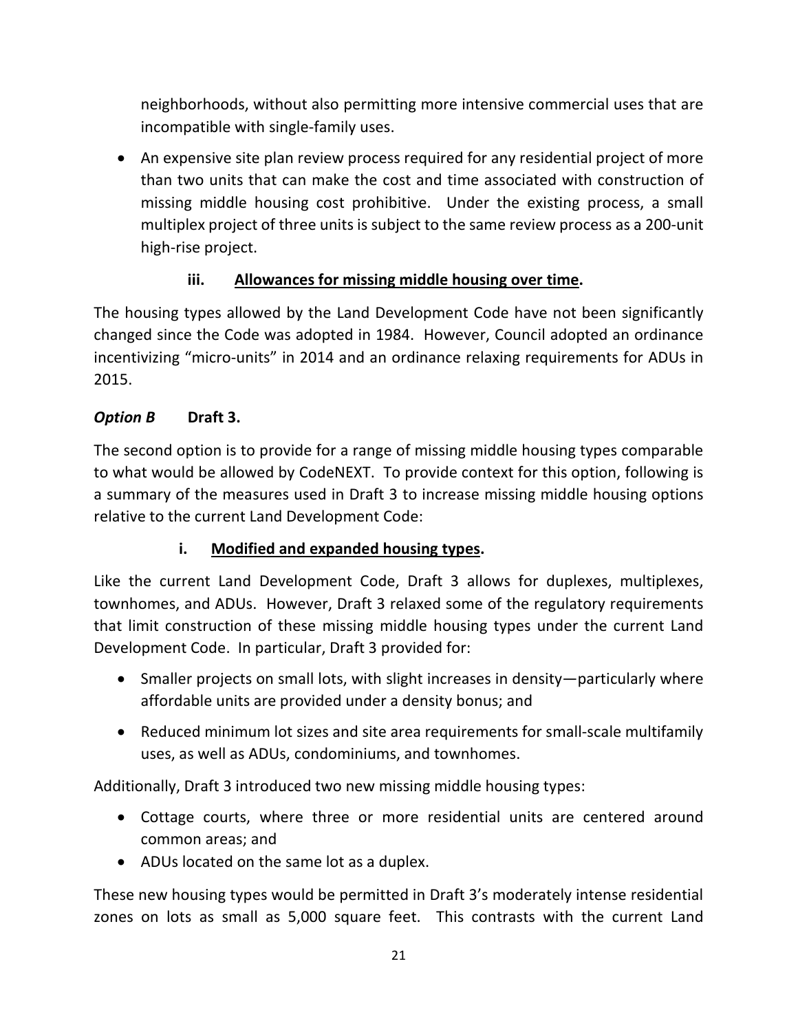neighborhoods, without also permitting more intensive commercial uses that are incompatible with single-family uses.

• An expensive site plan review process required for any residential project of more than two units that can make the cost and time associated with construction of missing middle housing cost prohibitive. Under the existing process, a small multiplex project of three units is subject to the same review process as a 200-unit high-rise project.

#### **iii. Allowances for missing middle housing over time.**

The housing types allowed by the Land Development Code have not been significantly changed since the Code was adopted in 1984. However, Council adopted an ordinance incentivizing "micro-units" in 2014 and an ordinance relaxing requirements for ADUs in 2015.

#### *Option B* **Draft 3.**

The second option is to provide for a range of missing middle housing types comparable to what would be allowed by CodeNEXT. To provide context for this option, following is a summary of the measures used in Draft 3 to increase missing middle housing options relative to the current Land Development Code:

#### **i. Modified and expanded housing types.**

Like the current Land Development Code, Draft 3 allows for duplexes, multiplexes, townhomes, and ADUs. However, Draft 3 relaxed some of the regulatory requirements that limit construction of these missing middle housing types under the current Land Development Code. In particular, Draft 3 provided for:

- Smaller projects on small lots, with slight increases in density—particularly where affordable units are provided under a density bonus; and
- Reduced minimum lot sizes and site area requirements for small-scale multifamily uses, as well as ADUs, condominiums, and townhomes.

Additionally, Draft 3 introduced two new missing middle housing types:

- Cottage courts, where three or more residential units are centered around common areas; and
- ADUs located on the same lot as a duplex.

These new housing types would be permitted in Draft 3's moderately intense residential zones on lots as small as 5,000 square feet. This contrasts with the current Land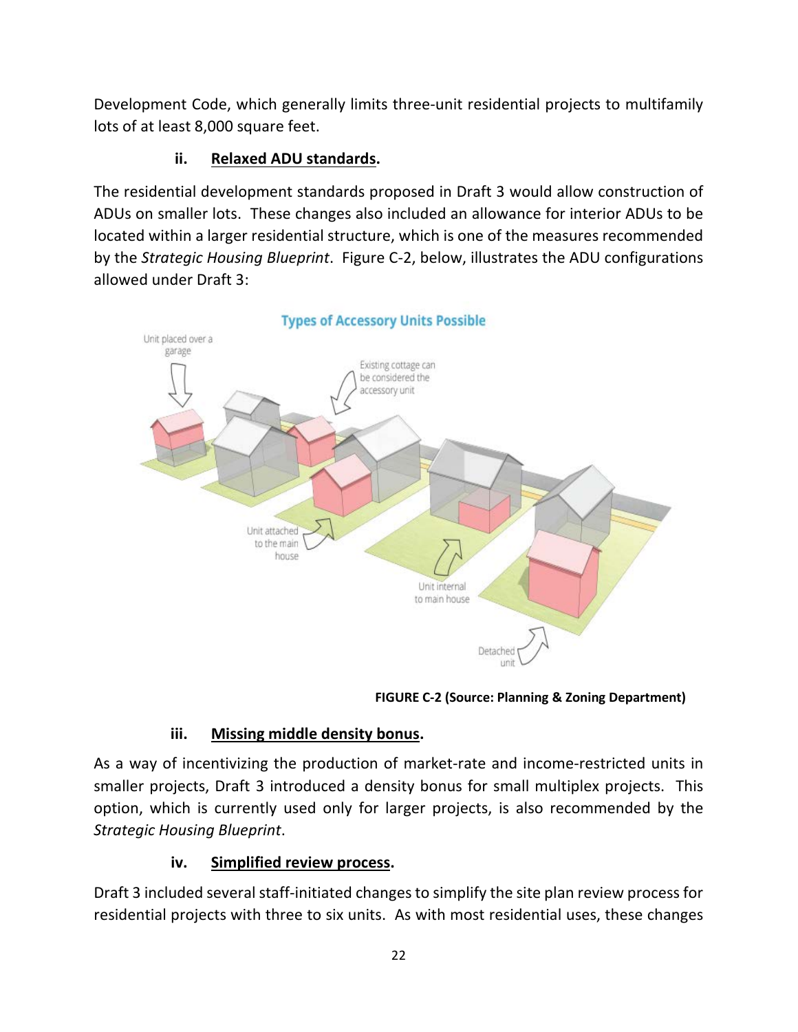Development Code, which generally limits three-unit residential projects to multifamily lots of at least 8,000 square feet.

#### **ii. Relaxed ADU standards.**

The residential development standards proposed in Draft 3 would allow construction of ADUs on smaller lots. These changes also included an allowance for interior ADUs to be located within a larger residential structure, which is one of the measures recommended by the *Strategic Housing Blueprint*. Figure C-2, below, illustrates the ADU configurations allowed under Draft 3:



**FIGURE C-2 (Source: Planning & Zoning Department)**

# **iii. Missing middle density bonus.**

As a way of incentivizing the production of market-rate and income-restricted units in smaller projects, Draft 3 introduced a density bonus for small multiplex projects. This option, which is currently used only for larger projects, is also recommended by the *Strategic Housing Blueprint*.

# **iv. Simplified review process.**

Draft 3 included several staff-initiated changes to simplify the site plan review process for residential projects with three to six units. As with most residential uses, these changes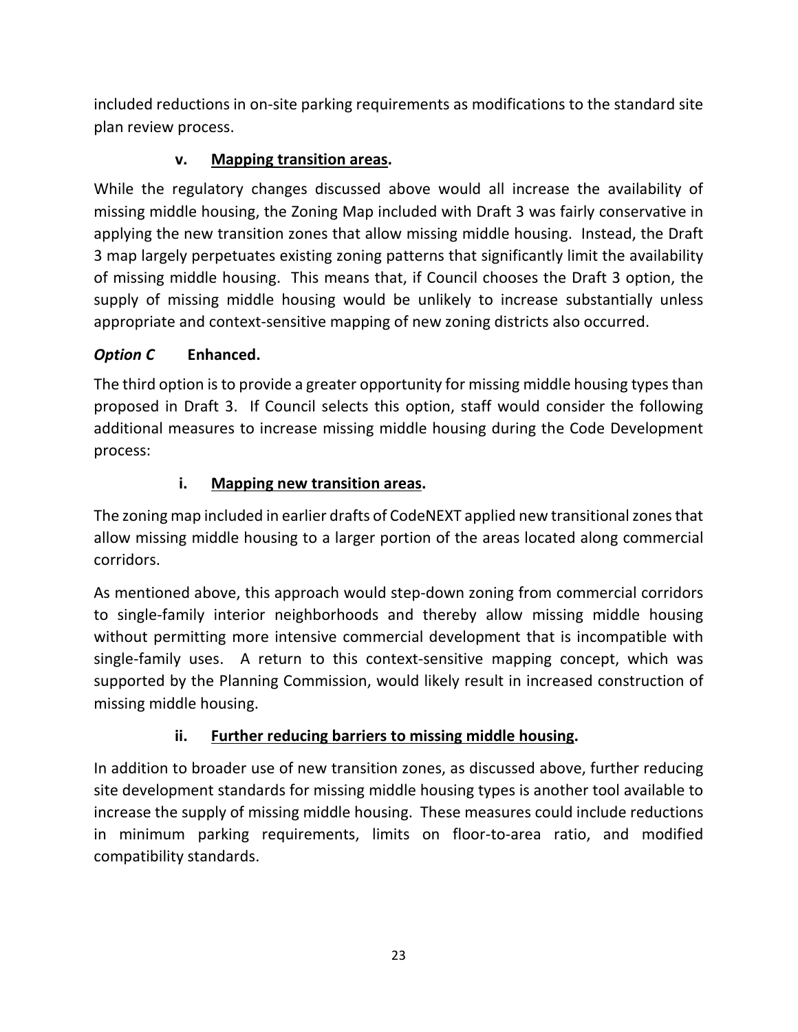included reductions in on-site parking requirements as modifications to the standard site plan review process.

# **v. Mapping transition areas.**

While the regulatory changes discussed above would all increase the availability of missing middle housing, the Zoning Map included with Draft 3 was fairly conservative in applying the new transition zones that allow missing middle housing. Instead, the Draft 3 map largely perpetuates existing zoning patterns that significantly limit the availability of missing middle housing. This means that, if Council chooses the Draft 3 option, the supply of missing middle housing would be unlikely to increase substantially unless appropriate and context-sensitive mapping of new zoning districts also occurred.

# *Option C* **Enhanced.**

The third option is to provide a greater opportunity for missing middle housing types than proposed in Draft 3. If Council selects this option, staff would consider the following additional measures to increase missing middle housing during the Code Development process:

# **i. Mapping new transition areas.**

The zoning map included in earlier drafts of CodeNEXT applied new transitional zones that allow missing middle housing to a larger portion of the areas located along commercial corridors.

As mentioned above, this approach would step-down zoning from commercial corridors to single-family interior neighborhoods and thereby allow missing middle housing without permitting more intensive commercial development that is incompatible with single-family uses. A return to this context-sensitive mapping concept, which was supported by the Planning Commission, would likely result in increased construction of missing middle housing.

# **ii. Further reducing barriers to missing middle housing.**

In addition to broader use of new transition zones, as discussed above, further reducing site development standards for missing middle housing types is another tool available to increase the supply of missing middle housing. These measures could include reductions in minimum parking requirements, limits on floor-to-area ratio, and modified compatibility standards.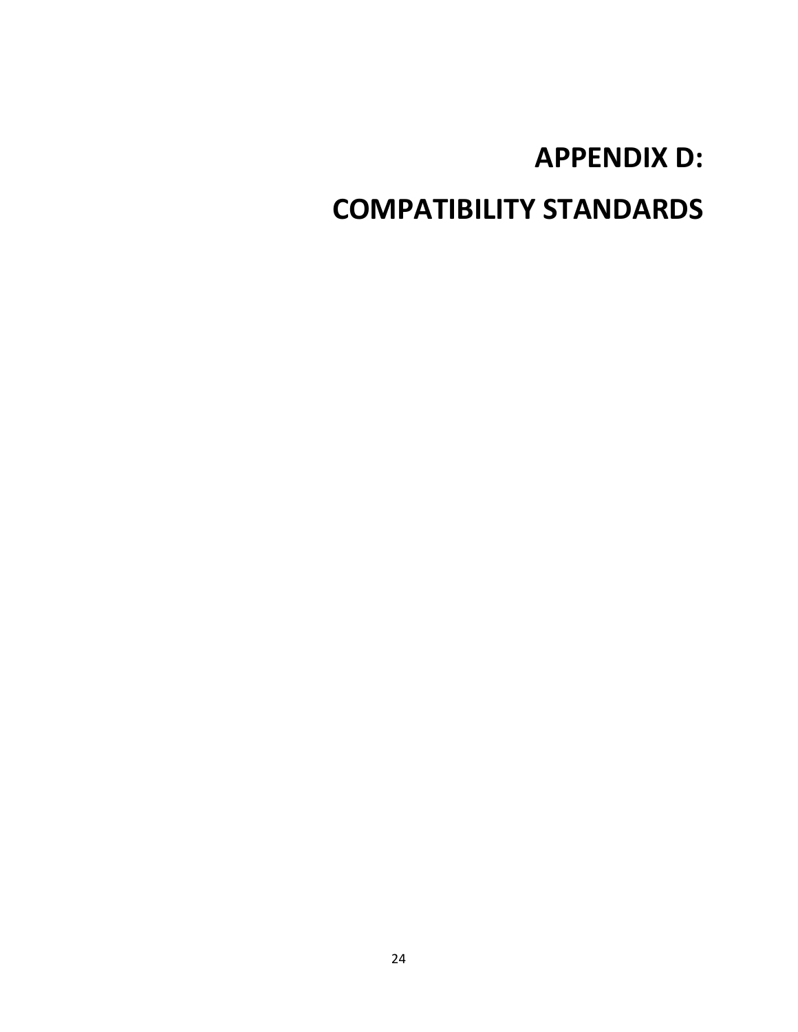# **APPENDIX D: COMPATIBILITY STANDARDS**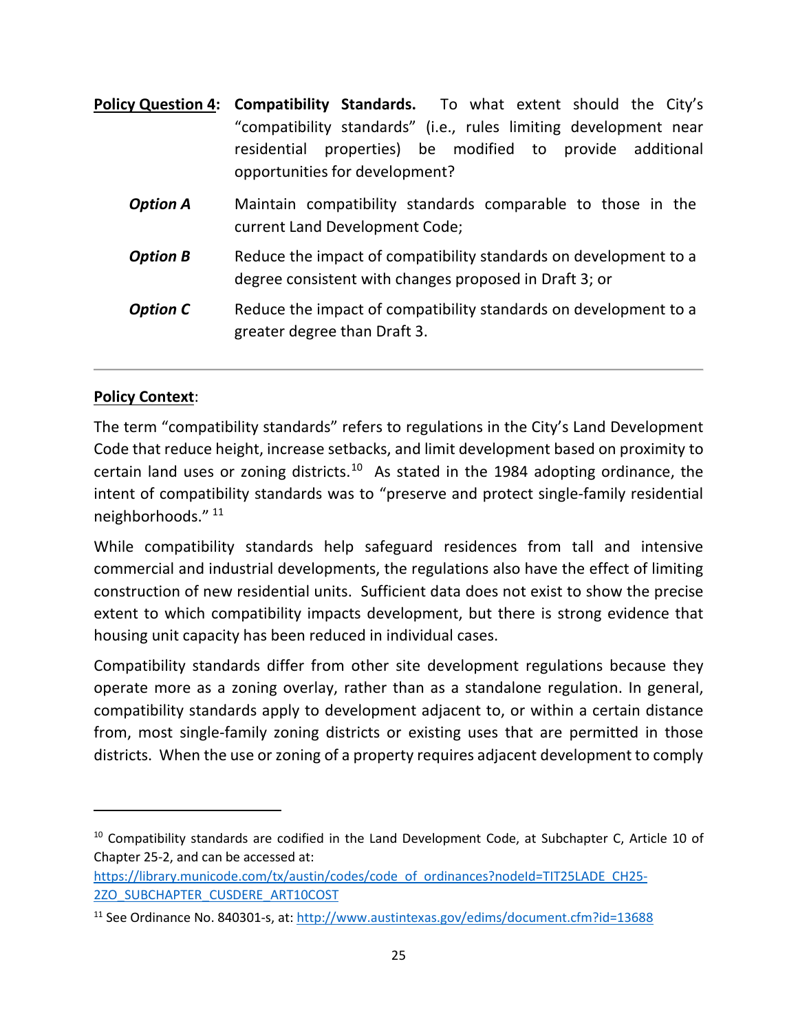|                 | <b>Policy Question 4: Compatibility Standards.</b> To what extent should the City's<br>"compatibility standards" (i.e., rules limiting development near<br>properties) be modified to provide additional<br>residential<br>opportunities for development? |
|-----------------|-----------------------------------------------------------------------------------------------------------------------------------------------------------------------------------------------------------------------------------------------------------|
| <b>Option A</b> | Maintain compatibility standards comparable to those in the<br>current Land Development Code;                                                                                                                                                             |
| <b>Option B</b> | Reduce the impact of compatibility standards on development to a<br>degree consistent with changes proposed in Draft 3; or                                                                                                                                |
| <b>Option C</b> | Reduce the impact of compatibility standards on development to a<br>greater degree than Draft 3.                                                                                                                                                          |

#### **Policy Context**:

 $\overline{a}$ 

The term "compatibility standards" refers to regulations in the City's Land Development Code that reduce height, increase setbacks, and limit development based on proximity to certain land uses or zoning districts.<sup>[10](#page-26-0)</sup> As stated in the 1984 adopting ordinance, the intent of compatibility standards was to "preserve and protect single-family residential neighborhoods." [11](#page-26-1)

While compatibility standards help safeguard residences from tall and intensive commercial and industrial developments, the regulations also have the effect of limiting construction of new residential units. Sufficient data does not exist to show the precise extent to which compatibility impacts development, but there is strong evidence that housing unit capacity has been reduced in individual cases.

Compatibility standards differ from other site development regulations because they operate more as a zoning overlay, rather than as a standalone regulation. In general, compatibility standards apply to development adjacent to, or within a certain distance from, most single-family zoning districts or existing uses that are permitted in those districts. When the use or zoning of a property requires adjacent development to comply

<span id="page-26-0"></span><sup>&</sup>lt;sup>10</sup> Compatibility standards are codified in the Land Development Code, at Subchapter C, Article 10 of Chapter 25-2, and can be accessed at:

[https://library.municode.com/tx/austin/codes/code\\_of\\_ordinances?nodeId=TIT25LADE\\_CH25-](https://library.municode.com/tx/austin/codes/code_of_ordinances?nodeId=TIT25LADE_CH25-2ZO_SUBCHAPTER_CUSDERE_ART10COST) [2ZO\\_SUBCHAPTER\\_CUSDERE\\_ART10COST](https://library.municode.com/tx/austin/codes/code_of_ordinances?nodeId=TIT25LADE_CH25-2ZO_SUBCHAPTER_CUSDERE_ART10COST)

<span id="page-26-1"></span><sup>&</sup>lt;sup>11</sup> See Ordinance No. 840301-s, at: <http://www.austintexas.gov/edims/document.cfm?id=13688>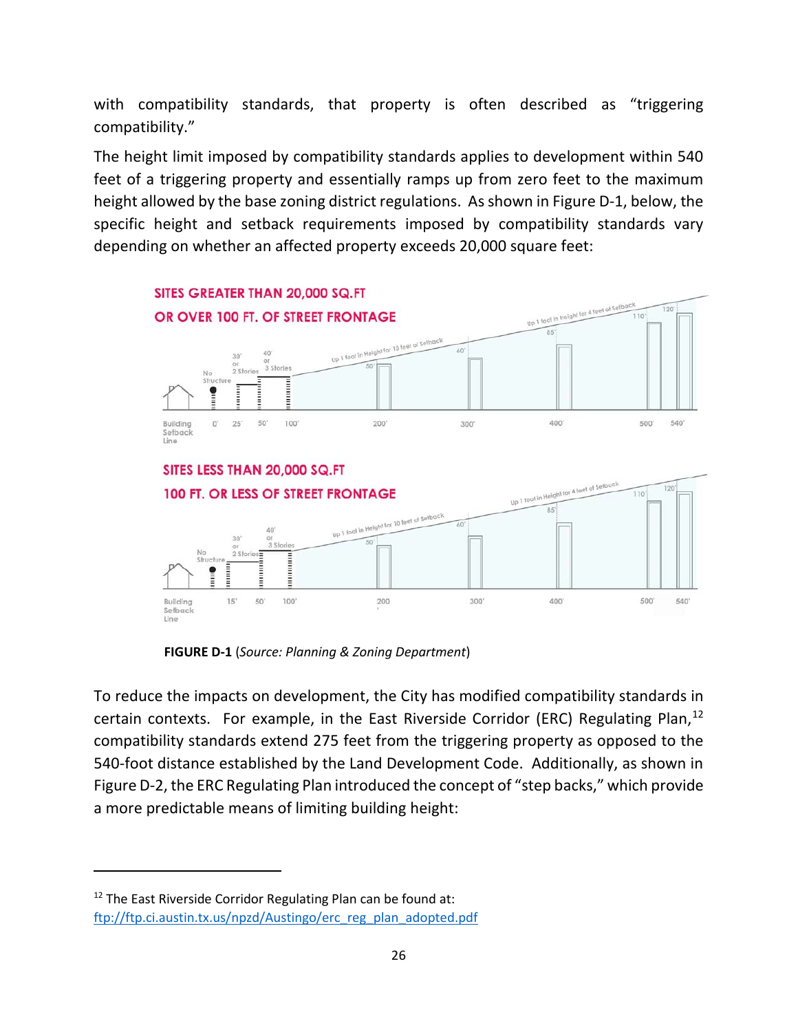with compatibility standards, that property is often described as "triggering compatibility."

The height limit imposed by compatibility standards applies to development within 540 feet of a triggering property and essentially ramps up from zero feet to the maximum height allowed by the base zoning district regulations. As shown in Figure D-1, below, the specific height and setback requirements imposed by compatibility standards vary depending on whether an affected property exceeds 20,000 square feet:



**FIGURE D-1** (*Source: Planning & Zoning Department*)

To reduce the impacts on development, the City has modified compatibility standards in certain contexts. For example, in the East Riverside Corridor (ERC) Regulating Plan,<sup>[12](#page-27-0)</sup> compatibility standards extend 275 feet from the triggering property as opposed to the 540-foot distance established by the Land Development Code. Additionally, as shown in Figure D-2, the ERC Regulating Plan introduced the concept of "step backs," which provide a more predictable means of limiting building height:

 $\overline{\phantom{a}}$ 

<span id="page-27-0"></span> $12$  The East Riverside Corridor Regulating Plan can be found at: [ftp://ftp.ci.austin.tx.us/npzd/Austingo/erc\\_reg\\_plan\\_adopted.pdf](ftp://ftp.ci.austin.tx.us/npzd/Austingo/erc_reg_plan_adopted.pdf)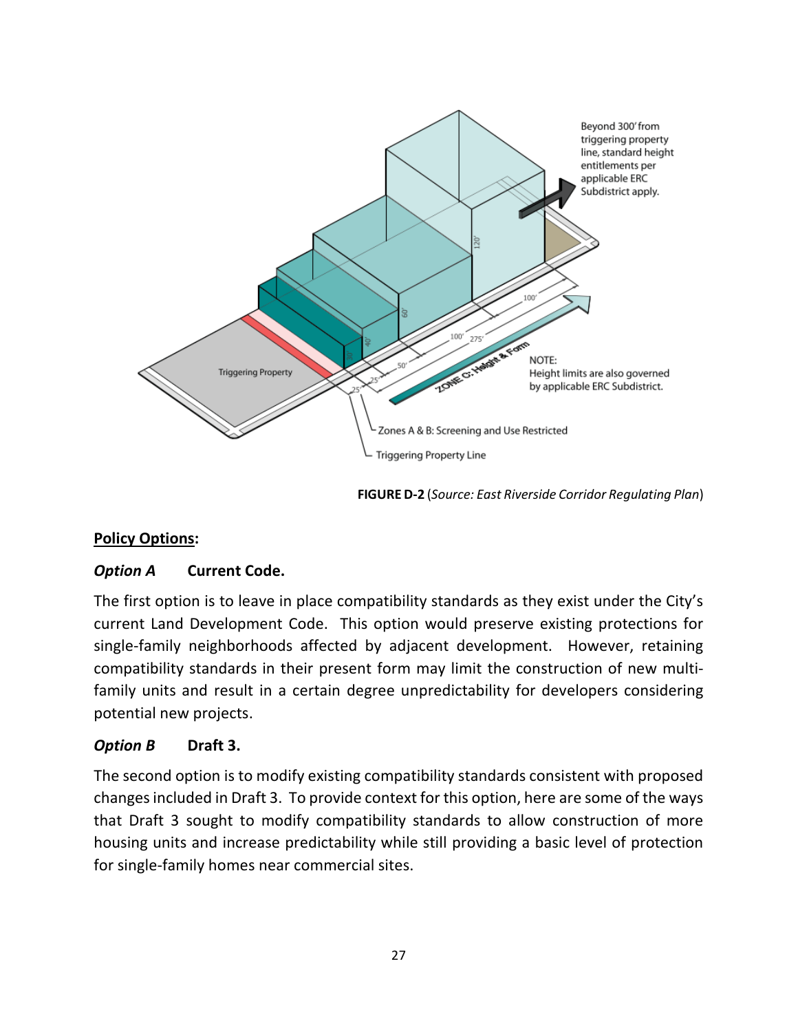

 **FIGURE D-2** (*Source: East Riverside Corridor Regulating Plan*)

#### **Policy Options:**

#### *Option A* **Current Code.**

The first option is to leave in place compatibility standards as they exist under the City's current Land Development Code. This option would preserve existing protections for single-family neighborhoods affected by adjacent development. However, retaining compatibility standards in their present form may limit the construction of new multifamily units and result in a certain degree unpredictability for developers considering potential new projects.

#### *Option B* **Draft 3.**

The second option is to modify existing compatibility standards consistent with proposed changes included in Draft 3. To provide context for this option, here are some of the ways that Draft 3 sought to modify compatibility standards to allow construction of more housing units and increase predictability while still providing a basic level of protection for single-family homes near commercial sites.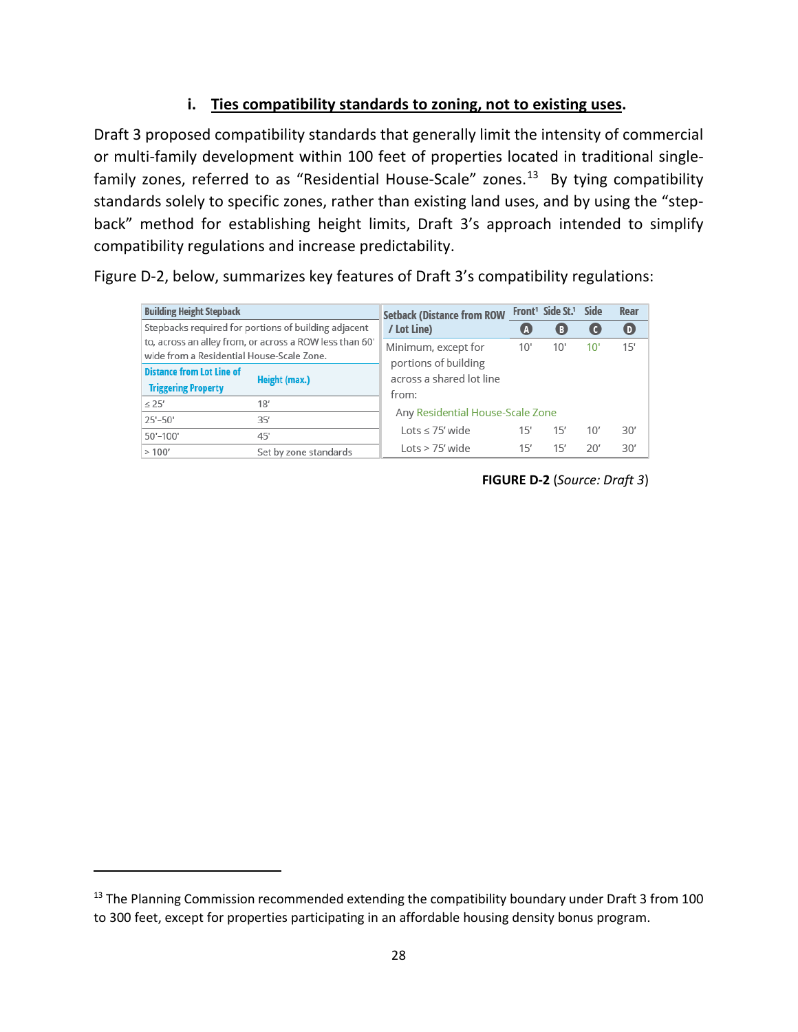#### **i. Ties compatibility standards to zoning, not to existing uses.**

Draft 3 proposed compatibility standards that generally limit the intensity of commercial or multi-family development within 100 feet of properties located in traditional single-family zones, referred to as "Residential House-Scale" zones.<sup>[13](#page-29-0)</sup> By tying compatibility standards solely to specific zones, rather than existing land uses, and by using the "stepback" method for establishing height limits, Draft 3's approach intended to simplify compatibility regulations and increase predictability.

Figure D-2, below, summarizes key features of Draft 3's compatibility regulations:

| <b>Building Height Stepback</b>                         |                       | <b>Setback (Distance from ROW</b><br>/ Lot Line) |     | Front <sup>1</sup> Side St. <sup>1</sup> | Side | Rear     |  |
|---------------------------------------------------------|-----------------------|--------------------------------------------------|-----|------------------------------------------|------|----------|--|
| Stepbacks required for portions of building adjacent    |                       |                                                  |     | O                                        |      | $\bf{O}$ |  |
| to, across an alley from, or across a ROW less than 60' |                       | Minimum, except for                              | 10' | 10'                                      | 10   | 15'      |  |
| wide from a Residential House-Scale Zone.               |                       | portions of building                             |     |                                          |      |          |  |
| <b>Distance from Lot Line of</b>                        | Height (max.)         | across a shared lot line                         |     |                                          |      |          |  |
| <b>Triggering Property</b>                              |                       |                                                  |     |                                          |      |          |  |
| $\leq$ 25'                                              | 18'                   | from:                                            |     |                                          |      |          |  |
| 25'-50'                                                 | 35'                   | Any Residential House-Scale Zone                 |     |                                          |      |          |  |
| 50'-100'                                                | 45'                   | Lots $\leq$ 75' wide                             | 15' | 15'                                      | 10'  | 30'      |  |
| >100'                                                   | Set by zone standards | $Lots > 75'$ wide                                | 15' | 15′                                      | 20'  | 30'      |  |

 **FIGURE D-2** (*Source: Draft 3*)

 $\overline{\phantom{a}}$ 

<span id="page-29-0"></span><sup>&</sup>lt;sup>13</sup> The Planning Commission recommended extending the compatibility boundary under Draft 3 from 100 to 300 feet, except for properties participating in an affordable housing density bonus program.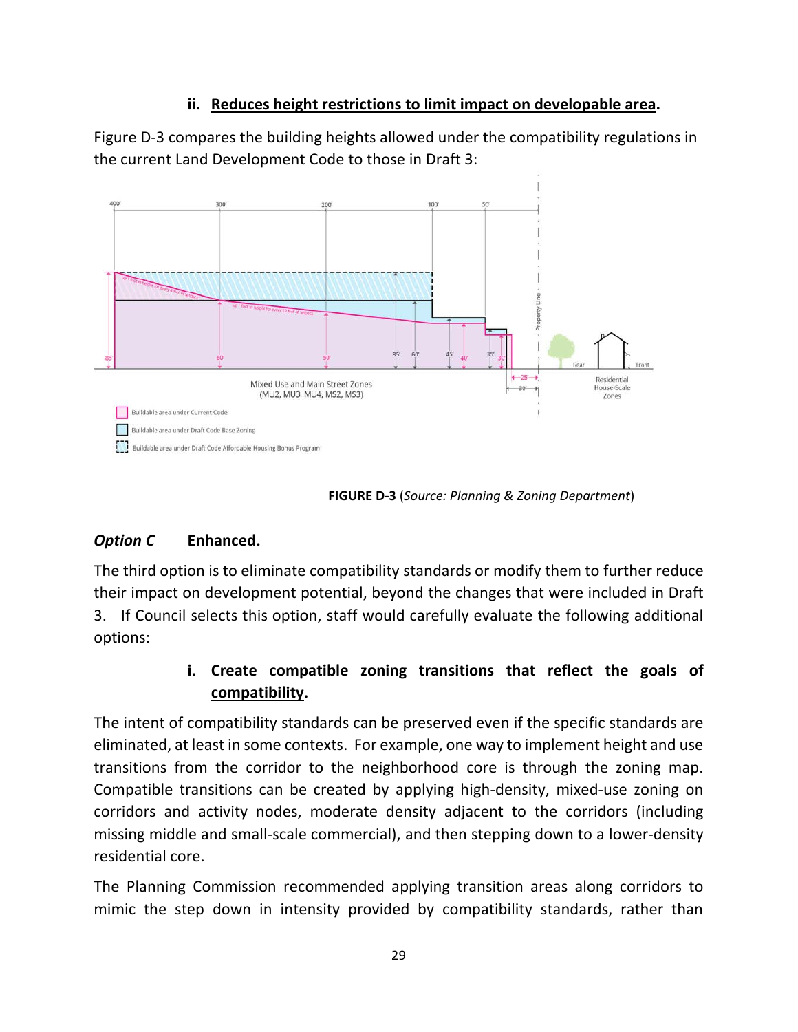#### **ii. Reduces height restrictions to limit impact on developable area.**

Figure D-3 compares the building heights allowed under the compatibility regulations in the current Land Development Code to those in Draft 3:



**FIGURE D-3** (*Source: Planning & Zoning Department*)

# *Option C* **Enhanced.**

The third option is to eliminate compatibility standards or modify them to further reduce their impact on development potential, beyond the changes that were included in Draft 3. If Council selects this option, staff would carefully evaluate the following additional options:

# **i. Create compatible zoning transitions that reflect the goals of compatibility.**

The intent of compatibility standards can be preserved even if the specific standards are eliminated, at least in some contexts. For example, one way to implement height and use transitions from the corridor to the neighborhood core is through the zoning map. Compatible transitions can be created by applying high-density, mixed-use zoning on corridors and activity nodes, moderate density adjacent to the corridors (including missing middle and small-scale commercial), and then stepping down to a lower-density residential core.

The Planning Commission recommended applying transition areas along corridors to mimic the step down in intensity provided by compatibility standards, rather than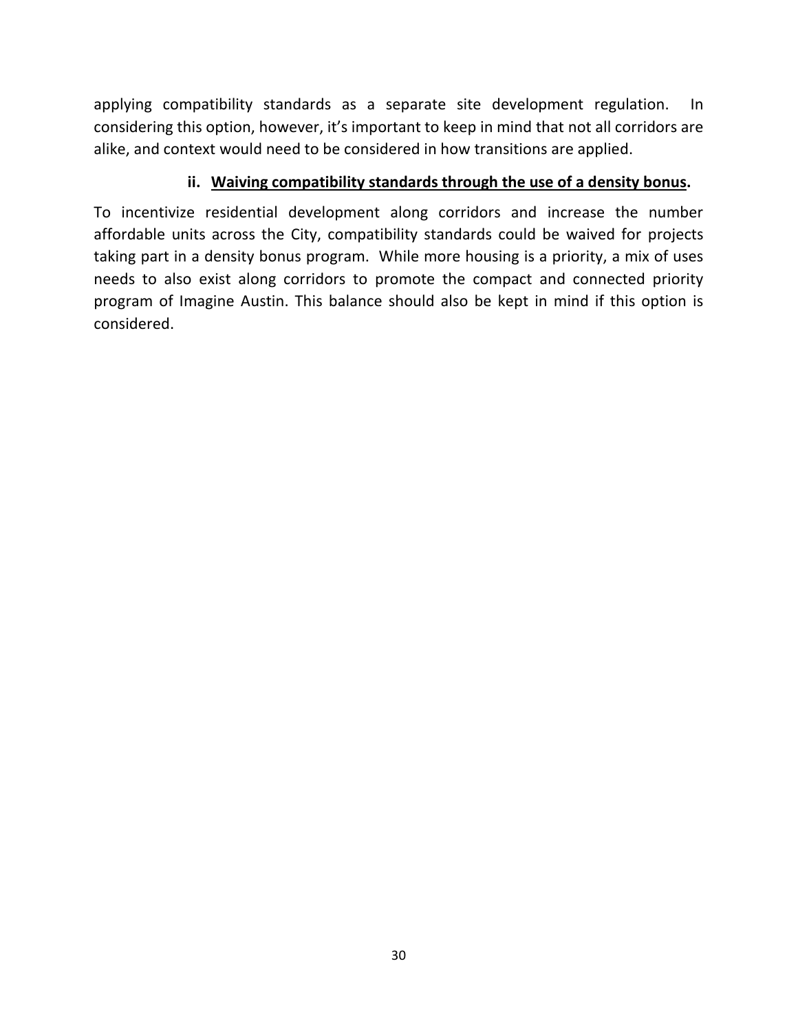applying compatibility standards as a separate site development regulation. In considering this option, however, it's important to keep in mind that not all corridors are alike, and context would need to be considered in how transitions are applied.

#### **ii. Waiving compatibility standards through the use of a density bonus.**

To incentivize residential development along corridors and increase the number affordable units across the City, compatibility standards could be waived for projects taking part in a density bonus program. While more housing is a priority, a mix of uses needs to also exist along corridors to promote the compact and connected priority program of Imagine Austin. This balance should also be kept in mind if this option is considered.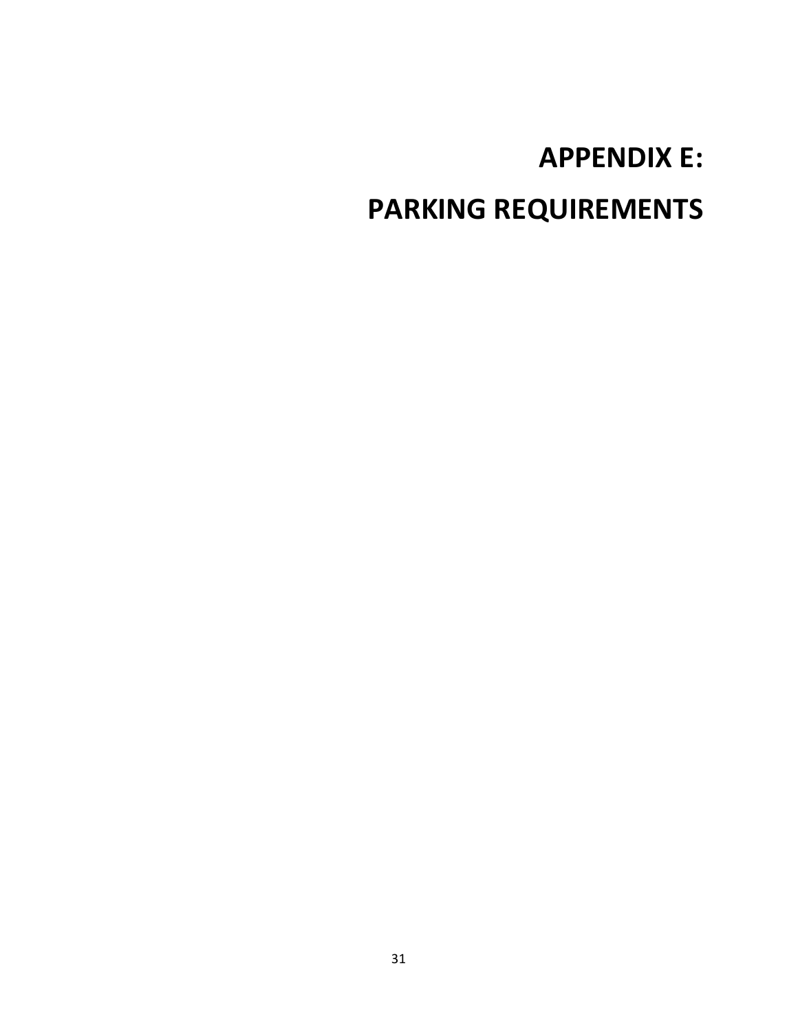# **APPENDIX E: PARKING REQUIREMENTS**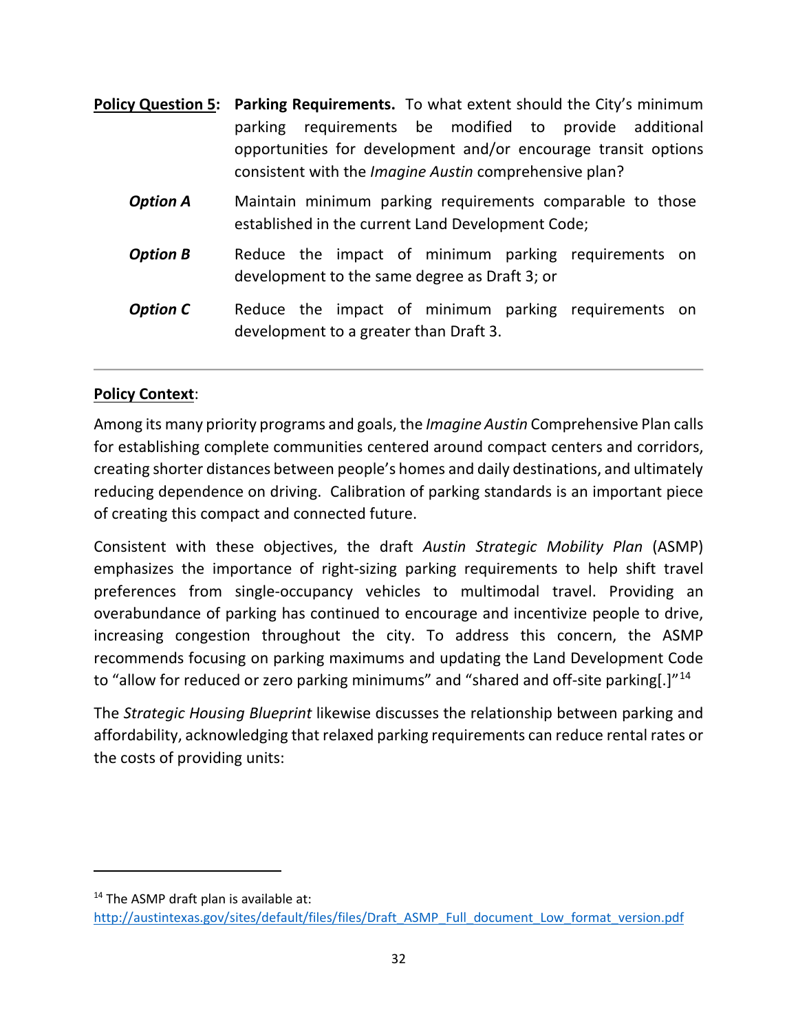|                 | <b>Policy Question 5:</b> Parking Requirements. To what extent should the City's minimum                                                                                                  |  |  |  |
|-----------------|-------------------------------------------------------------------------------------------------------------------------------------------------------------------------------------------|--|--|--|
|                 | parking requirements be modified to provide additional<br>opportunities for development and/or encourage transit options<br>consistent with the <i>Imagine Austin</i> comprehensive plan? |  |  |  |
| <b>Option A</b> | Maintain minimum parking requirements comparable to those<br>established in the current Land Development Code;                                                                            |  |  |  |
| <b>Option B</b> | Reduce the impact of minimum parking requirements on<br>development to the same degree as Draft 3; or                                                                                     |  |  |  |
| <b>Option C</b> | Reduce the impact of minimum parking requirements on<br>development to a greater than Draft 3.                                                                                            |  |  |  |

#### **Policy Context**:

Among its many priority programs and goals, the *Imagine Austin* Comprehensive Plan calls for establishing complete communities centered around compact centers and corridors, creating shorter distances between people's homes and daily destinations, and ultimately reducing dependence on driving. Calibration of parking standards is an important piece of creating this compact and connected future.

Consistent with these objectives, the draft *Austin Strategic Mobility Plan* (ASMP) emphasizes the importance of right-sizing parking requirements to help shift travel preferences from single-occupancy vehicles to multimodal travel. Providing an overabundance of parking has continued to encourage and incentivize people to drive, increasing congestion throughout the city. To address this concern, the ASMP recommends focusing on parking maximums and updating the Land Development Code to "allow for reduced or zero parking minimums" and "shared and off-site parking[.]"<sup>[14](#page-33-0)</sup>

The *Strategic Housing Blueprint* likewise discusses the relationship between parking and affordability, acknowledging that relaxed parking requirements can reduce rental rates or the costs of providing units:

 $\overline{\phantom{a}}$ 

<span id="page-33-0"></span> $14$  The ASMP draft plan is available at:

[http://austintexas.gov/sites/default/files/files/Draft\\_ASMP\\_Full\\_document\\_Low\\_format\\_version.pdf](http://austintexas.gov/sites/default/files/files/Draft_ASMP_Full_document_Low_format_version.pdf)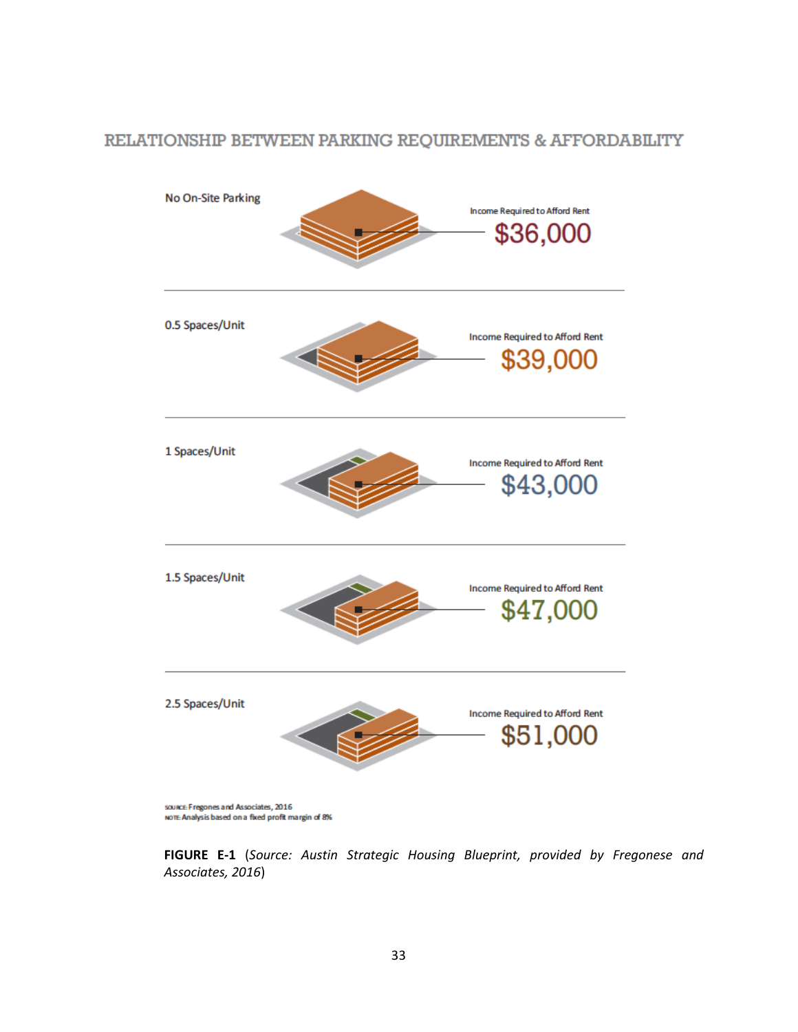#### RELATIONSHIP BETWEEN PARKING REQUIREMENTS & AFFORDABILITY



source: Fregones and Associates, 2016<br>Note Analysis based on a fixed profit margin of 8%

**FIGURE E-1** (*Source: Austin Strategic Housing Blueprint, provided by Fregonese and Associates, 2016*)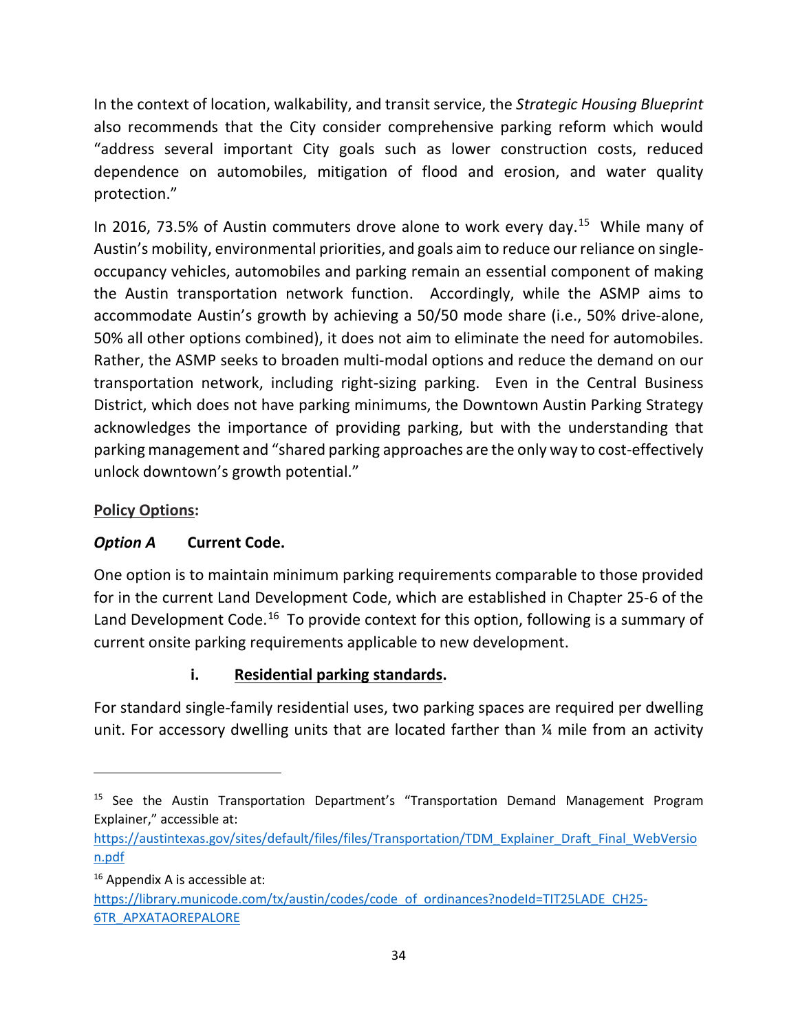In the context of location, walkability, and transit service, the *Strategic Housing Blueprint* also recommends that the City consider comprehensive parking reform which would "address several important City goals such as lower construction costs, reduced dependence on automobiles, mitigation of flood and erosion, and water quality protection."

In 2016, 73.5% of Austin commuters drove alone to work every day.<sup>15</sup> While many of Austin's mobility, environmental priorities, and goals aim to reduce our reliance on singleoccupancy vehicles, automobiles and parking remain an essential component of making the Austin transportation network function. Accordingly, while the ASMP aims to accommodate Austin's growth by achieving a 50/50 mode share (i.e., 50% drive-alone, 50% all other options combined), it does not aim to eliminate the need for automobiles. Rather, the ASMP seeks to broaden multi-modal options and reduce the demand on our transportation network, including right-sizing parking. Even in the Central Business District, which does not have parking minimums, the Downtown Austin Parking Strategy acknowledges the importance of providing parking, but with the understanding that parking management and "shared parking approaches are the only way to cost-effectively unlock downtown's growth potential."

#### **Policy Options:**

# *Option A* **Current Code.**

One option is to maintain minimum parking requirements comparable to those provided for in the current Land Development Code, which are established in Chapter 25-6 of the Land Development Code.<sup>[16](#page-35-1)</sup> To provide context for this option, following is a summary of current onsite parking requirements applicable to new development.

# **i. Residential parking standards.**

For standard single-family residential uses, two parking spaces are required per dwelling unit. For accessory dwelling units that are located farther than  $\frac{1}{4}$  mile from an activity

 $\overline{\phantom{a}}$ 

<span id="page-35-0"></span><sup>&</sup>lt;sup>15</sup> See the Austin Transportation Department's "Transportation Demand Management Program Explainer," accessible at:

[https://austintexas.gov/sites/default/files/files/Transportation/TDM\\_Explainer\\_Draft\\_Final\\_WebVersio](https://austintexas.gov/sites/default/files/files/Transportation/TDM_Explainer_Draft_Final_WebVersion.pdf) [n.pdf](https://austintexas.gov/sites/default/files/files/Transportation/TDM_Explainer_Draft_Final_WebVersion.pdf)

<span id="page-35-1"></span> $16$  Appendix A is accessible at:

[https://library.municode.com/tx/austin/codes/code\\_of\\_ordinances?nodeId=TIT25LADE\\_CH25-](https://library.municode.com/tx/austin/codes/code_of_ordinances?nodeId=TIT25LADE_CH25-6TR_APXATAOREPALORE) [6TR\\_APXATAOREPALORE](https://library.municode.com/tx/austin/codes/code_of_ordinances?nodeId=TIT25LADE_CH25-6TR_APXATAOREPALORE)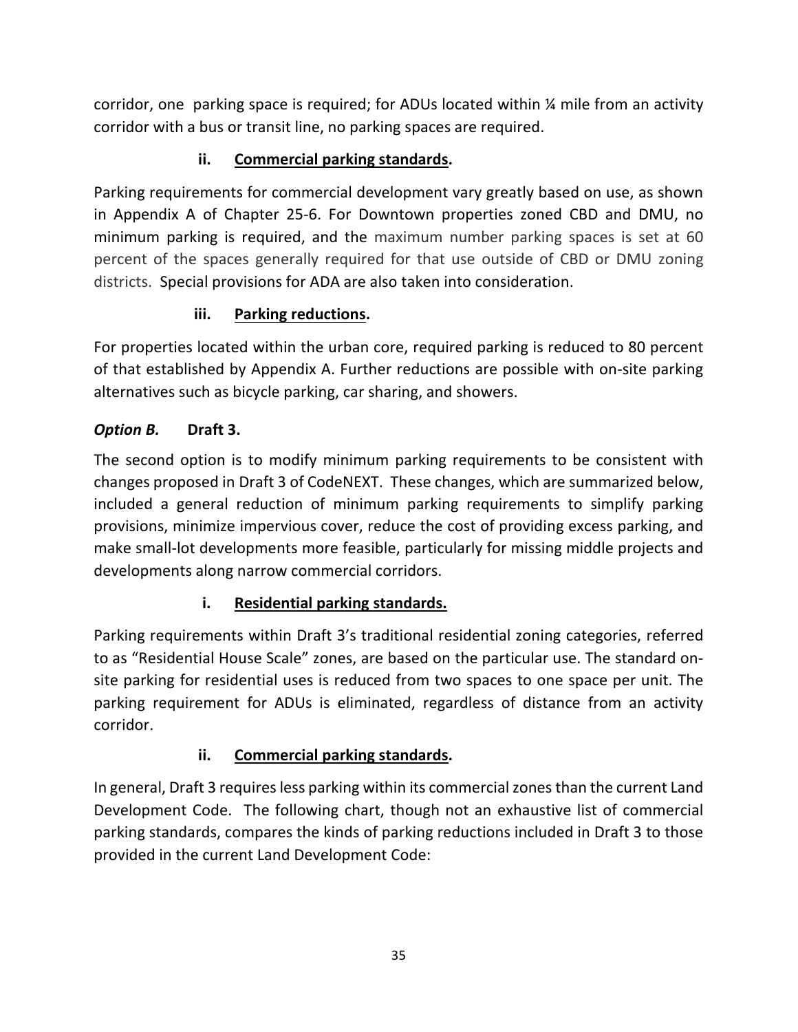corridor, one parking space is required; for ADUs located within ¼ mile from an activity corridor with a bus or transit line, no parking spaces are required.

# **ii. Commercial parking standards.**

Parking requirements for commercial development vary greatly based on use, as shown in Appendix A of Chapter 25-6. For Downtown properties zoned CBD and DMU, no minimum parking is required, and the maximum number parking spaces is set at 60 percent of the spaces generally required for that use outside of CBD or DMU zoning districts. Special provisions for ADA are also taken into consideration.

# **iii. Parking reductions.**

For properties located within the urban core, required parking is reduced to 80 percent of that established by Appendix A. Further reductions are possible with on-site parking alternatives such as bicycle parking, car sharing, and showers.

# *Option B.* **Draft 3.**

The second option is to modify minimum parking requirements to be consistent with changes proposed in Draft 3 of CodeNEXT. These changes, which are summarized below, included a general reduction of minimum parking requirements to simplify parking provisions, minimize impervious cover, reduce the cost of providing excess parking, and make small-lot developments more feasible, particularly for missing middle projects and developments along narrow commercial corridors.

# **i. Residential parking standards.**

Parking requirements within Draft 3's traditional residential zoning categories, referred to as "Residential House Scale" zones, are based on the particular use. The standard onsite parking for residential uses is reduced from two spaces to one space per unit. The parking requirement for ADUs is eliminated, regardless of distance from an activity corridor.

# **ii. Commercial parking standards.**

In general, Draft 3 requires less parking within its commercial zones than the current Land Development Code. The following chart, though not an exhaustive list of commercial parking standards, compares the kinds of parking reductions included in Draft 3 to those provided in the current Land Development Code: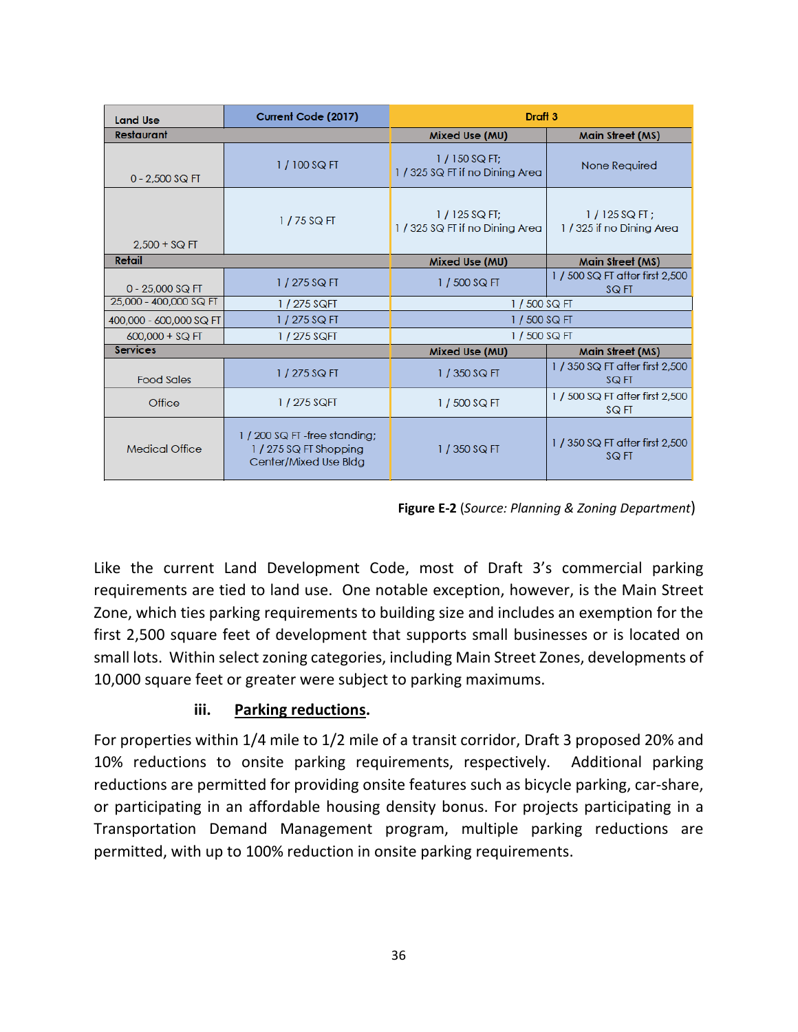| <b>Land Use</b>         | Current Code (2017)                                                              | Draft <sub>3</sub>                                |                                              |  |  |
|-------------------------|----------------------------------------------------------------------------------|---------------------------------------------------|----------------------------------------------|--|--|
| Restaurant              |                                                                                  | Mixed Use (MU)                                    | Main Street (MS)                             |  |  |
| $0 - 2,500$ SQ FT       | $1/100$ SQ FT                                                                    | $1/150$ SQ FT;<br>1 / 325 SQ FT if no Dining Area | None Required                                |  |  |
| $2.500 + SQ$ FT         | $1/75$ SQ FT                                                                     | $1/125$ SQ FT:<br>1 / 325 SQ FT if no Dining Area | $1/125$ SQ FT :<br>1 / 325 if no Dining Area |  |  |
| Retail                  |                                                                                  | Mixed Use (MU)                                    | Main Street (MS)                             |  |  |
| $0 - 25,000$ SQ FT      | $1/275$ SQ FT                                                                    | 1 / 500 SQ FT                                     | 1 / 500 SQ FT after first 2,500<br>SQ FT     |  |  |
| 25,000 - 400,000 SQ FT  | 1 / 275 SQFT                                                                     | 1 / 500 SQ FT                                     |                                              |  |  |
| 400,000 - 600,000 SQ FT | 1/275 SQ FT                                                                      | 1 / 500 SQ FT                                     |                                              |  |  |
| $600,000 + SQ$ FT       | 1 / 275 SQFT                                                                     | $1/500$ SQ FT                                     |                                              |  |  |
| <b>Services</b>         |                                                                                  | Mixed Use (MU)                                    | Main Street (MS)                             |  |  |
| <b>Food Sales</b>       | $1/275$ SQ FT                                                                    | 1 / 350 SQ FT                                     | 1 / 350 SQ FT after first 2,500<br>SQ FT     |  |  |
| Office                  | 1 / 275 SQFT                                                                     | 1 / 500 SQ FT                                     | 1 / 500 SQ FT after first 2,500<br>SQ FT     |  |  |
| <b>Medical Office</b>   | 1 / 200 SQ FT -free standing;<br>$1/275$ SQ FT Shopping<br>Center/Mixed Use Bldg | 1 / 350 SQ FT                                     | 1 / 350 SQ FT after first 2,500<br>SQ FT     |  |  |

 **Figure E-2** (*Source: Planning & Zoning Department*)

Like the current Land Development Code, most of Draft 3's commercial parking requirements are tied to land use. One notable exception, however, is the Main Street Zone, which ties parking requirements to building size and includes an exemption for the first 2,500 square feet of development that supports small businesses or is located on small lots. Within select zoning categories, including Main Street Zones, developments of 10,000 square feet or greater were subject to parking maximums.

#### **iii. Parking reductions.**

For properties within 1/4 mile to 1/2 mile of a transit corridor, Draft 3 proposed 20% and 10% reductions to onsite parking requirements, respectively. Additional parking reductions are permitted for providing onsite features such as bicycle parking, car-share, or participating in an affordable housing density bonus. For projects participating in a Transportation Demand Management program, multiple parking reductions are permitted, with up to 100% reduction in onsite parking requirements.